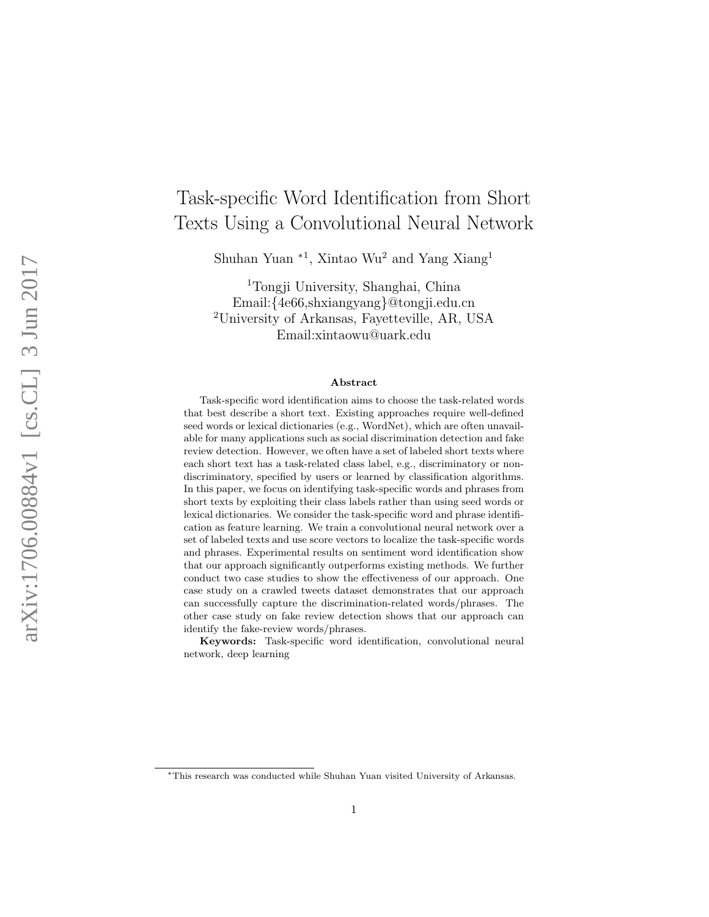# Task-specific Word Identification from Short Texts Using a Convolutional Neural Network

Shuhan Yuan <sup>∗1</sup>, Xintao Wu<sup>2</sup> and Yang Xiang<sup>1</sup>

<sup>1</sup>Tongji University, Shanghai, China Email:{4e66,shxiangyang}@tongji.edu.cn <sup>2</sup>University of Arkansas, Fayetteville, AR, USA Email:xintaowu@uark.edu

#### Abstract

Task-specific word identification aims to choose the task-related words that best describe a short text. Existing approaches require well-defined seed words or lexical dictionaries (e.g., WordNet), which are often unavailable for many applications such as social discrimination detection and fake review detection. However, we often have a set of labeled short texts where each short text has a task-related class label, e.g., discriminatory or nondiscriminatory, specified by users or learned by classification algorithms. In this paper, we focus on identifying task-specific words and phrases from short texts by exploiting their class labels rather than using seed words or lexical dictionaries. We consider the task-specific word and phrase identification as feature learning. We train a convolutional neural network over a set of labeled texts and use score vectors to localize the task-specific words and phrases. Experimental results on sentiment word identification show that our approach significantly outperforms existing methods. We further conduct two case studies to show the effectiveness of our approach. One case study on a crawled tweets dataset demonstrates that our approach can successfully capture the discrimination-related words/phrases. The other case study on fake review detection shows that our approach can identify the fake-review words/phrases.

Keywords: Task-specific word identification, convolutional neural network, deep learning

<sup>∗</sup>This research was conducted while Shuhan Yuan visited University of Arkansas.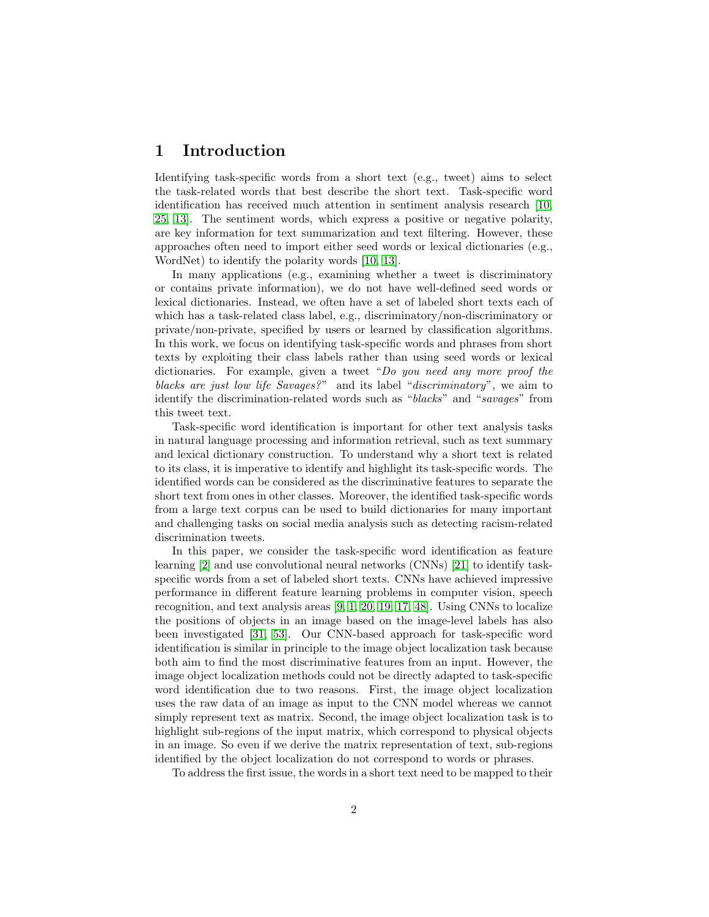### 1 Introduction

Identifying task-specific words from a short text (e.g., tweet) aims to select the task-related words that best describe the short text. Task-specific word identification has received much attention in sentiment analysis research [\[10,](#page-19-0) [25,](#page-21-0) [13\]](#page-20-0). The sentiment words, which express a positive or negative polarity, are key information for text summarization and text filtering. However, these approaches often need to import either seed words or lexical dictionaries (e.g., WordNet) to identify the polarity words [\[10,](#page-19-0) [13\]](#page-20-0).

In many applications (e.g., examining whether a tweet is discriminatory or contains private information), we do not have well-defined seed words or lexical dictionaries. Instead, we often have a set of labeled short texts each of which has a task-related class label, e.g., discriminatory/non-discriminatory or private/non-private, specified by users or learned by classification algorithms. In this work, we focus on identifying task-specific words and phrases from short texts by exploiting their class labels rather than using seed words or lexical dictionaries. For example, given a tweet "Do you need any more proof the blacks are just low life Savages?" and its label "discriminatory", we aim to identify the discrimination-related words such as "blacks" and "savages" from this tweet text.

Task-specific word identification is important for other text analysis tasks in natural language processing and information retrieval, such as text summary and lexical dictionary construction. To understand why a short text is related to its class, it is imperative to identify and highlight its task-specific words. The identified words can be considered as the discriminative features to separate the short text from ones in other classes. Moreover, the identified task-specific words from a large text corpus can be used to build dictionaries for many important and challenging tasks on social media analysis such as detecting racism-related discrimination tweets.

In this paper, we consider the task-specific word identification as feature learning [\[2\]](#page-19-1) and use convolutional neural networks (CNNs) [\[21\]](#page-20-1) to identify taskspecific words from a set of labeled short texts. CNNs have achieved impressive performance in different feature learning problems in computer vision, speech recognition, and text analysis areas [\[9,](#page-19-2) [1,](#page-19-3) [20,](#page-20-2) [19,](#page-20-3) [17,](#page-20-4) [48\]](#page-23-0). Using CNNs to localize the positions of objects in an image based on the image-level labels has also been investigated [\[31,](#page-21-1) [53\]](#page-23-1). Our CNN-based approach for task-specific word identification is similar in principle to the image object localization task because both aim to find the most discriminative features from an input. However, the image object localization methods could not be directly adapted to task-specific word identification due to two reasons. First, the image object localization uses the raw data of an image as input to the CNN model whereas we cannot simply represent text as matrix. Second, the image object localization task is to highlight sub-regions of the input matrix, which correspond to physical objects in an image. So even if we derive the matrix representation of text, sub-regions identified by the object localization do not correspond to words or phrases.

To address the first issue, the words in a short text need to be mapped to their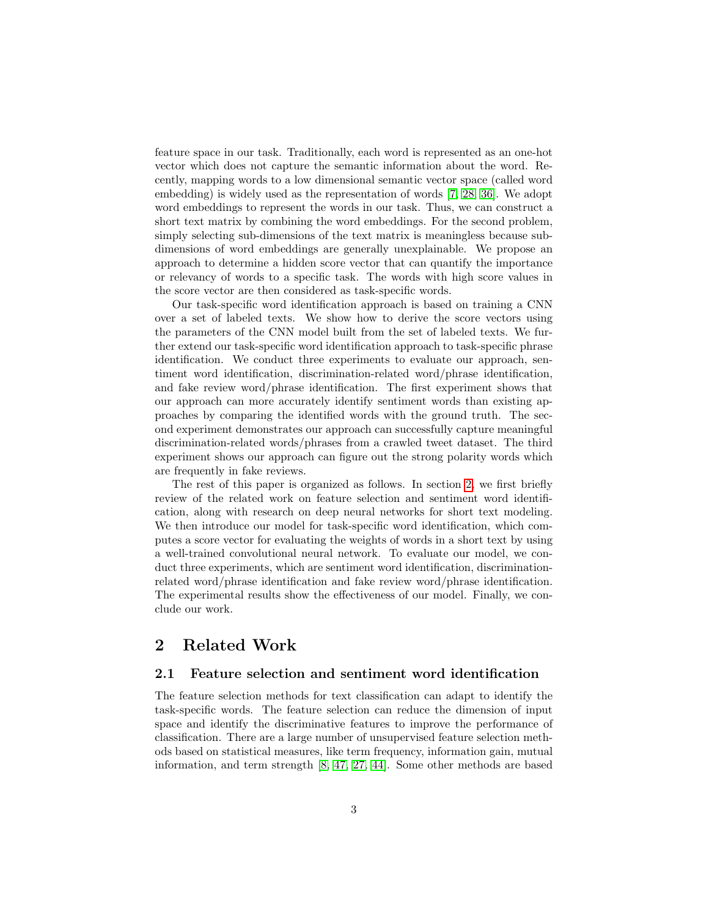feature space in our task. Traditionally, each word is represented as an one-hot vector which does not capture the semantic information about the word. Recently, mapping words to a low dimensional semantic vector space (called word embedding) is widely used as the representation of words [\[7,](#page-19-4) [28,](#page-21-2) [36\]](#page-22-0). We adopt word embeddings to represent the words in our task. Thus, we can construct a short text matrix by combining the word embeddings. For the second problem, simply selecting sub-dimensions of the text matrix is meaningless because subdimensions of word embeddings are generally unexplainable. We propose an approach to determine a hidden score vector that can quantify the importance or relevancy of words to a specific task. The words with high score values in the score vector are then considered as task-specific words.

Our task-specific word identification approach is based on training a CNN over a set of labeled texts. We show how to derive the score vectors using the parameters of the CNN model built from the set of labeled texts. We further extend our task-specific word identification approach to task-specific phrase identification. We conduct three experiments to evaluate our approach, sentiment word identification, discrimination-related word/phrase identification, and fake review word/phrase identification. The first experiment shows that our approach can more accurately identify sentiment words than existing approaches by comparing the identified words with the ground truth. The second experiment demonstrates our approach can successfully capture meaningful discrimination-related words/phrases from a crawled tweet dataset. The third experiment shows our approach can figure out the strong polarity words which are frequently in fake reviews.

The rest of this paper is organized as follows. In section [2,](#page-2-0) we first briefly review of the related work on feature selection and sentiment word identification, along with research on deep neural networks for short text modeling. We then introduce our model for task-specific word identification, which computes a score vector for evaluating the weights of words in a short text by using a well-trained convolutional neural network. To evaluate our model, we conduct three experiments, which are sentiment word identification, discriminationrelated word/phrase identification and fake review word/phrase identification. The experimental results show the effectiveness of our model. Finally, we conclude our work.

### <span id="page-2-0"></span>2 Related Work

#### 2.1 Feature selection and sentiment word identification

The feature selection methods for text classification can adapt to identify the task-specific words. The feature selection can reduce the dimension of input space and identify the discriminative features to improve the performance of classification. There are a large number of unsupervised feature selection methods based on statistical measures, like term frequency, information gain, mutual information, and term strength [\[8,](#page-19-5) [47,](#page-23-2) [27,](#page-21-3) [44\]](#page-22-1). Some other methods are based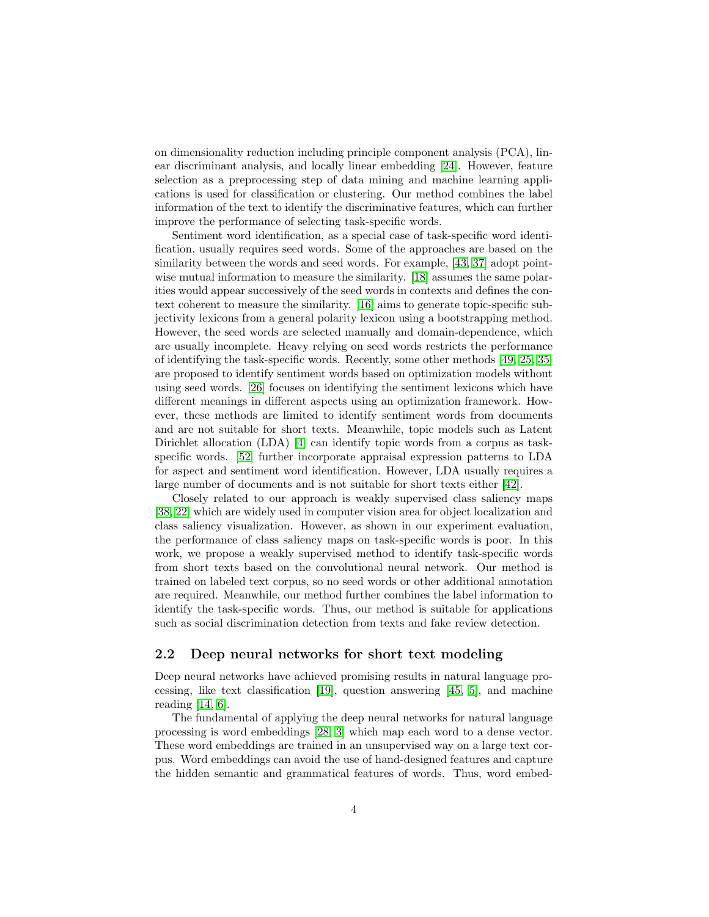on dimensionality reduction including principle component analysis (PCA), linear discriminant analysis, and locally linear embedding [\[24\]](#page-21-4). However, feature selection as a preprocessing step of data mining and machine learning applications is used for classification or clustering. Our method combines the label information of the text to identify the discriminative features, which can further improve the performance of selecting task-specific words.

Sentiment word identification, as a special case of task-specific word identification, usually requires seed words. Some of the approaches are based on the similarity between the words and seed words. For example, [\[43,](#page-22-2) [37\]](#page-22-3) adopt pointwise mutual information to measure the similarity. [\[18\]](#page-20-5) assumes the same polarities would appear successively of the seed words in contexts and defines the context coherent to measure the similarity. [\[16\]](#page-20-6) aims to generate topic-specific subjectivity lexicons from a general polarity lexicon using a bootstrapping method. However, the seed words are selected manually and domain-dependence, which are usually incomplete. Heavy relying on seed words restricts the performance of identifying the task-specific words. Recently, some other methods [\[49,](#page-23-3) [25,](#page-21-0) [35\]](#page-21-5) are proposed to identify sentiment words based on optimization models without using seed words. [\[26\]](#page-21-6) focuses on identifying the sentiment lexicons which have different meanings in different aspects using an optimization framework. However, these methods are limited to identify sentiment words from documents and are not suitable for short texts. Meanwhile, topic models such as Latent Dirichlet allocation (LDA) [\[4\]](#page-19-6) can identify topic words from a corpus as taskspecific words. [\[52\]](#page-23-4) further incorporate appraisal expression patterns to LDA for aspect and sentiment word identification. However, LDA usually requires a large number of documents and is not suitable for short texts either [\[42\]](#page-22-4).

Closely related to our approach is weakly supervised class saliency maps [\[38,](#page-22-5) [22\]](#page-20-7) which are widely used in computer vision area for object localization and class saliency visualization. However, as shown in our experiment evaluation, the performance of class saliency maps on task-specific words is poor. In this work, we propose a weakly supervised method to identify task-specific words from short texts based on the convolutional neural network. Our method is trained on labeled text corpus, so no seed words or other additional annotation are required. Meanwhile, our method further combines the label information to identify the task-specific words. Thus, our method is suitable for applications such as social discrimination detection from texts and fake review detection.

#### 2.2 Deep neural networks for short text modeling

Deep neural networks have achieved promising results in natural language processing, like text classification [\[19\]](#page-20-3), question answering [\[45,](#page-22-6) [5\]](#page-19-7), and machine reading [\[14,](#page-20-8) [6\]](#page-19-8).

The fundamental of applying the deep neural networks for natural language processing is word embeddings [\[28,](#page-21-2) [3\]](#page-19-9) which map each word to a dense vector. These word embeddings are trained in an unsupervised way on a large text corpus. Word embeddings can avoid the use of hand-designed features and capture the hidden semantic and grammatical features of words. Thus, word embed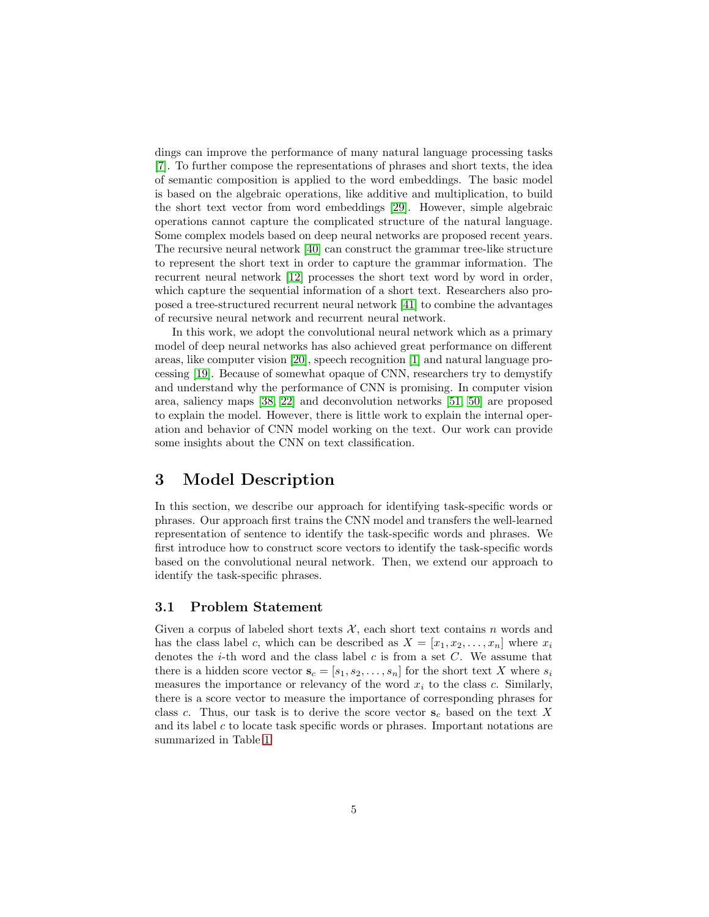dings can improve the performance of many natural language processing tasks [\[7\]](#page-19-4). To further compose the representations of phrases and short texts, the idea of semantic composition is applied to the word embeddings. The basic model is based on the algebraic operations, like additive and multiplication, to build the short text vector from word embeddings [\[29\]](#page-21-7). However, simple algebraic operations cannot capture the complicated structure of the natural language. Some complex models based on deep neural networks are proposed recent years. The recursive neural network [\[40\]](#page-22-7) can construct the grammar tree-like structure to represent the short text in order to capture the grammar information. The recurrent neural network [\[12\]](#page-19-10) processes the short text word by word in order, which capture the sequential information of a short text. Researchers also proposed a tree-structured recurrent neural network [\[41\]](#page-22-8) to combine the advantages of recursive neural network and recurrent neural network.

In this work, we adopt the convolutional neural network which as a primary model of deep neural networks has also achieved great performance on different areas, like computer vision [\[20\]](#page-20-2), speech recognition [\[1\]](#page-19-3) and natural language processing [\[19\]](#page-20-3). Because of somewhat opaque of CNN, researchers try to demystify and understand why the performance of CNN is promising. In computer vision area, saliency maps [\[38,](#page-22-5) [22\]](#page-20-7) and deconvolution networks [\[51,](#page-23-5) [50\]](#page-23-6) are proposed to explain the model. However, there is little work to explain the internal operation and behavior of CNN model working on the text. Our work can provide some insights about the CNN on text classification.

### 3 Model Description

In this section, we describe our approach for identifying task-specific words or phrases. Our approach first trains the CNN model and transfers the well-learned representation of sentence to identify the task-specific words and phrases. We first introduce how to construct score vectors to identify the task-specific words based on the convolutional neural network. Then, we extend our approach to identify the task-specific phrases.

#### 3.1 Problem Statement

Given a corpus of labeled short texts  $\mathcal{X}$ , each short text contains n words and has the class label c, which can be described as  $X = [x_1, x_2, \ldots, x_n]$  where  $x_i$ denotes the *i*-th word and the class label c is from a set  $C$ . We assume that there is a hidden score vector  $\mathbf{s}_c = [s_1, s_2, \ldots, s_n]$  for the short text X where  $s_i$ measures the importance or relevancy of the word  $x_i$  to the class c. Similarly, there is a score vector to measure the importance of corresponding phrases for class c. Thus, our task is to derive the score vector  $s_c$  based on the text X and its label  $c$  to locate task specific words or phrases. Important notations are summarized in Table [1.](#page-5-0)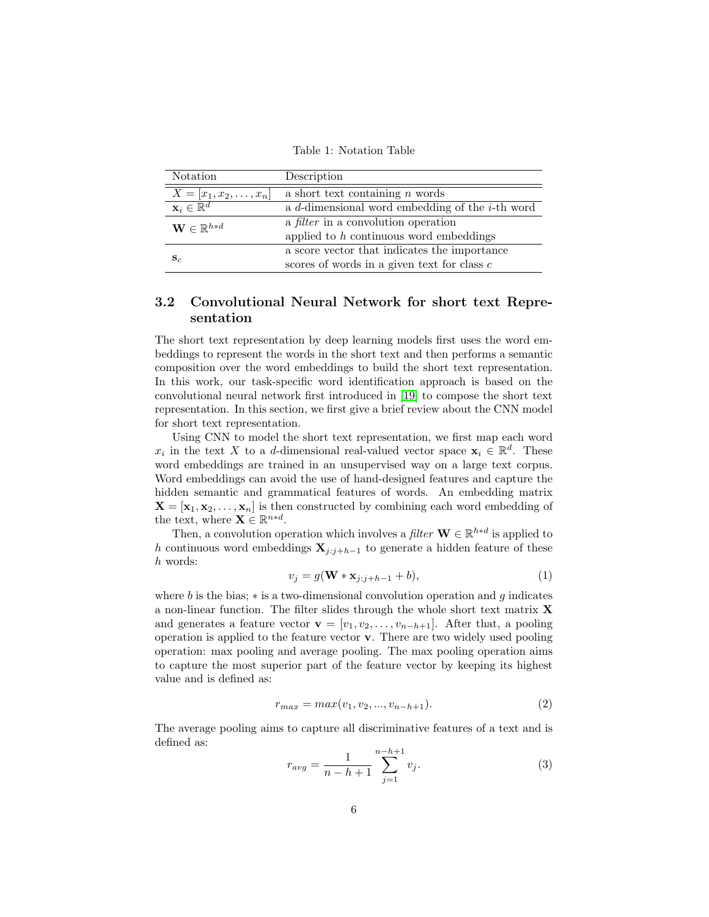Table 1: Notation Table

<span id="page-5-0"></span>

| Notation                          | Description                                        |
|-----------------------------------|----------------------------------------------------|
| $X = [x_1, x_2, \ldots, x_n]$     | a short text containing $n$ words                  |
| $\mathbf{x}_i \in \mathbb{R}^d$   | a d-dimensional word embedding of the $i$ -th word |
| $\mathbf{W} \in \mathbb{R}^{h*d}$ | a <i>filter</i> in a convolution operation         |
|                                   | applied to $h$ continuous word embeddings          |
|                                   | a score vector that indicates the importance       |
| $\mathbf{s}_c$                    | scores of words in a given text for class $c$      |

### 3.2 Convolutional Neural Network for short text Representation

The short text representation by deep learning models first uses the word embeddings to represent the words in the short text and then performs a semantic composition over the word embeddings to build the short text representation. In this work, our task-specific word identification approach is based on the convolutional neural network first introduced in [\[19\]](#page-20-3) to compose the short text representation. In this section, we first give a brief review about the CNN model for short text representation.

Using CNN to model the short text representation, we first map each word  $x_i$  in the text X to a d-dimensional real-valued vector space  $\mathbf{x}_i \in \mathbb{R}^d$ . These word embeddings are trained in an unsupervised way on a large text corpus. Word embeddings can avoid the use of hand-designed features and capture the hidden semantic and grammatical features of words. An embedding matrix  $X = [\mathbf{x}_1, \mathbf{x}_2, \dots, \mathbf{x}_n]$  is then constructed by combining each word embedding of the text, where  $\mathbf{X} \in \mathbb{R}^{n \times d}$ .

Then, a convolution operation which involves a filter  $\mathbf{W} \in \mathbb{R}^{h*d}$  is applied to h continuous word embeddings  $\mathbf{X}_{j:j+h-1}$  to generate a hidden feature of these h words:

<span id="page-5-1"></span>
$$
v_j = g(\mathbf{W} * \mathbf{x}_{j:j+h-1} + b), \tag{1}
$$

where b is the bias;  $*$  is a two-dimensional convolution operation and g indicates a non-linear function. The filter slides through the whole short text matrix X and generates a feature vector  $\mathbf{v} = [v_1, v_2, \dots, v_{n-h+1}]$ . After that, a pooling operation is applied to the feature vector v. There are two widely used pooling operation: max pooling and average pooling. The max pooling operation aims to capture the most superior part of the feature vector by keeping its highest value and is defined as:

<span id="page-5-2"></span>
$$
r_{max} = max(v_1, v_2, ..., v_{n-h+1}).
$$
\n(2)

The average pooling aims to capture all discriminative features of a text and is defined as:

<span id="page-5-3"></span>
$$
r_{avg} = \frac{1}{n - h + 1} \sum_{j=1}^{n - h + 1} v_j.
$$
 (3)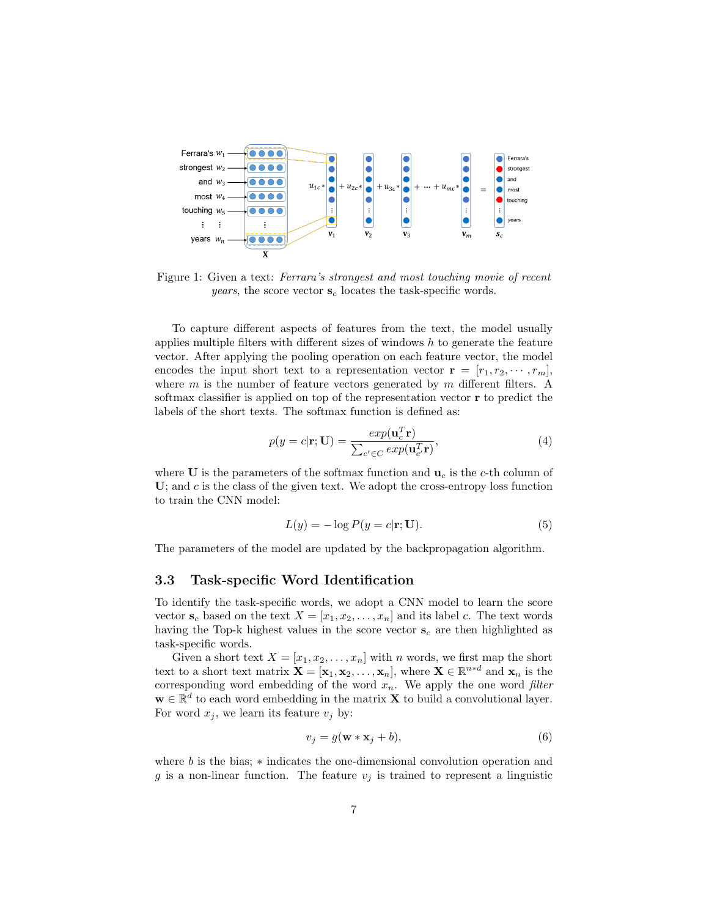<span id="page-6-1"></span>

Figure 1: Given a text: Ferrara's strongest and most touching movie of recent *years*, the score vector  $s_c$  locates the task-specific words.

To capture different aspects of features from the text, the model usually applies multiple filters with different sizes of windows  $h$  to generate the feature vector. After applying the pooling operation on each feature vector, the model encodes the input short text to a representation vector  $\mathbf{r} = [r_1, r_2, \cdots, r_m],$ where  $m$  is the number of feature vectors generated by  $m$  different filters. A softmax classifier is applied on top of the representation vector r to predict the labels of the short texts. The softmax function is defined as:

$$
p(y = c|\mathbf{r}; \mathbf{U}) = \frac{exp(\mathbf{u}_c^T \mathbf{r})}{\sum_{c' \in C} exp(\mathbf{u}_{c'}^T \mathbf{r})},
$$
(4)

where U is the parameters of the softmax function and  $\mathbf{u}_c$  is the c-th column of  $U$ ; and  $c$  is the class of the given text. We adopt the cross-entropy loss function to train the CNN model:

<span id="page-6-0"></span>
$$
L(y) = -\log P(y = c|\mathbf{r}; \mathbf{U}).\tag{5}
$$

The parameters of the model are updated by the backpropagation algorithm.

#### 3.3 Task-specific Word Identification

To identify the task-specific words, we adopt a CNN model to learn the score vector  $s_c$  based on the text  $X = [x_1, x_2, \ldots, x_n]$  and its label c. The text words having the Top-k highest values in the score vector  $s_c$  are then highlighted as task-specific words.

Given a short text  $X = [x_1, x_2, \ldots, x_n]$  with n words, we first map the short text to a short text matrix  $\mathbf{X} = [\mathbf{x}_1, \mathbf{x}_2, \dots, \mathbf{x}_n]$ , where  $\mathbf{X} \in \mathbb{R}^{n \times d}$  and  $\mathbf{x}_n$  is the corresponding word embedding of the word  $x_n$ . We apply the one word filter  $\mathbf{w} \in \mathbb{R}^d$  to each word embedding in the matrix **X** to build a convolutional layer. For word  $x_j$ , we learn its feature  $v_j$  by:

$$
v_j = g(\mathbf{w} * \mathbf{x}_j + b), \tag{6}
$$

where b is the bias; ∗ indicates the one-dimensional convolution operation and g is a non-linear function. The feature  $v_j$  is trained to represent a linguistic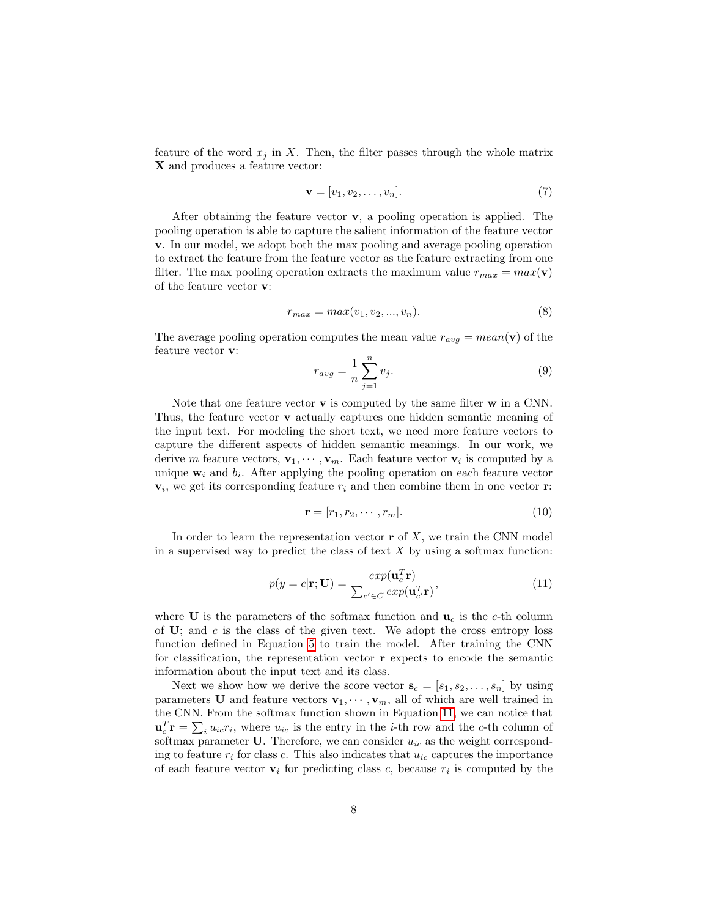feature of the word  $x_j$  in X. Then, the filter passes through the whole matrix X and produces a feature vector:

<span id="page-7-1"></span>
$$
\mathbf{v} = [v_1, v_2, \dots, v_n]. \tag{7}
$$

After obtaining the feature vector  $\bf{v}$ , a pooling operation is applied. The pooling operation is able to capture the salient information of the feature vector v. In our model, we adopt both the max pooling and average pooling operation to extract the feature from the feature vector as the feature extracting from one filter. The max pooling operation extracts the maximum value  $r_{max} = max(v)$ of the feature vector v:

$$
r_{max} = max(v_1, v_2, ..., v_n). \tag{8}
$$

The average pooling operation computes the mean value  $r_{avg} = mean(\mathbf{v})$  of the feature vector v:

$$
r_{avg} = \frac{1}{n} \sum_{j=1}^{n} v_j.
$$
\n
$$
(9)
$$

Note that one feature vector  $\bf{v}$  is computed by the same filter  $\bf{w}$  in a CNN. Thus, the feature vector v actually captures one hidden semantic meaning of the input text. For modeling the short text, we need more feature vectors to capture the different aspects of hidden semantic meanings. In our work, we derive m feature vectors,  $\mathbf{v}_1, \dots, \mathbf{v}_m$ . Each feature vector  $\mathbf{v}_i$  is computed by a unique  $w_i$  and  $b_i$ . After applying the pooling operation on each feature vector  $v_i$ , we get its corresponding feature  $r_i$  and then combine them in one vector **r**:

$$
\mathbf{r} = [r_1, r_2, \cdots, r_m].\tag{10}
$$

In order to learn the representation vector  $\mathbf r$  of X, we train the CNN model in a supervised way to predict the class of text  $X$  by using a softmax function:

<span id="page-7-0"></span>
$$
p(y = c|\mathbf{r}; \mathbf{U}) = \frac{exp(\mathbf{u}_c^T \mathbf{r})}{\sum_{c' \in C} exp(\mathbf{u}_{c'}^T \mathbf{r})},
$$
(11)

where U is the parameters of the softmax function and  $\mathbf{u}_c$  is the c-th column of  $U$ ; and  $c$  is the class of the given text. We adopt the cross entropy loss function defined in Equation [5](#page-6-0) to train the model. After training the CNN for classification, the representation vector r expects to encode the semantic information about the input text and its class.

Next we show how we derive the score vector  $\mathbf{s}_c = [s_1, s_2, \ldots, s_n]$  by using parameters **U** and feature vectors  $\mathbf{v}_1, \dots, \mathbf{v}_m$ , all of which are well trained in the CNN. From the softmax function shown in Equation [11,](#page-7-0) we can notice that  $\mathbf{u}_c^T \mathbf{r} = \sum_i u_{ic} r_i$ , where  $u_{ic}$  is the entry in the *i*-th row and the *c*-th column of softmax parameter U. Therefore, we can consider  $u_{ic}$  as the weight corresponding to feature  $r_i$  for class c. This also indicates that  $u_i$  captures the importance of each feature vector  $\mathbf{v}_i$  for predicting class c, because  $r_i$  is computed by the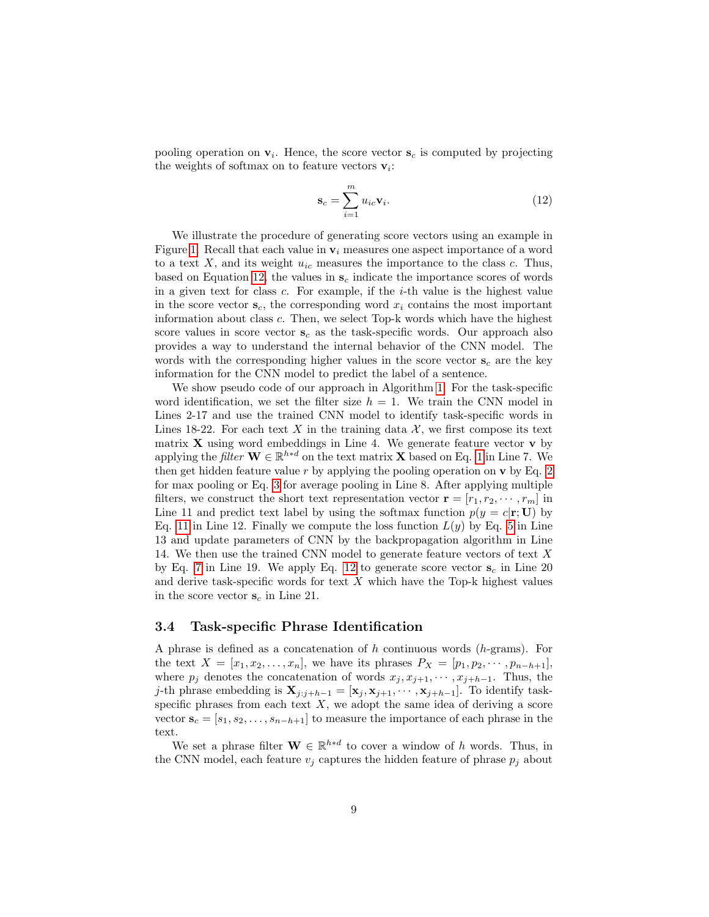pooling operation on  $v_i$ . Hence, the score vector  $s_c$  is computed by projecting the weights of softmax on to feature vectors  $\mathbf{v}_i$ :

<span id="page-8-0"></span>
$$
\mathbf{s}_c = \sum_{i=1}^m u_{ic} \mathbf{v}_i.
$$
 (12)

We illustrate the procedure of generating score vectors using an example in Figure [1.](#page-6-1) Recall that each value in  $v_i$  measures one aspect importance of a word to a text  $X$ , and its weight  $u_{ic}$  measures the importance to the class  $c$ . Thus, based on Equation [12,](#page-8-0) the values in  $s_c$  indicate the importance scores of words in a given text for class  $c$ . For example, if the  $i$ -th value is the highest value in the score vector  $\mathbf{s}_c$ , the corresponding word  $x_i$  contains the most important information about class c. Then, we select Top-k words which have the highest score values in score vector  $s_c$  as the task-specific words. Our approach also provides a way to understand the internal behavior of the CNN model. The words with the corresponding higher values in the score vector  $s_c$  are the key information for the CNN model to predict the label of a sentence.

We show pseudo code of our approach in Algorithm [1.](#page-9-0) For the task-specific word identification, we set the filter size  $h = 1$ . We train the CNN model in Lines 2-17 and use the trained CNN model to identify task-specific words in Lines 18-22. For each text X in the training data  $\mathcal{X}$ , we first compose its text matrix  $X$  using word embeddings in Line 4. We generate feature vector  $v$  by applying the *filter*  $\mathbf{W} \in \mathbb{R}^{h*d}$  on the text matrix **X** based on Eq. [1](#page-5-1) in Line 7. We then get hidden feature value  $r$  by applying the pooling operation on  $\bf{v}$  by Eq. [2](#page-5-2) for max pooling or Eq. [3](#page-5-3) for average pooling in Line 8. After applying multiple filters, we construct the short text representation vector  $\mathbf{r} = [r_1, r_2, \cdots, r_m]$  in Line 11 and predict text label by using the softmax function  $p(y = c|\mathbf{r}; \mathbf{U})$  by Eq. [11](#page-7-0) in Line 12. Finally we compute the loss function  $L(y)$  by Eq. [5](#page-6-0) in Line 13 and update parameters of CNN by the backpropagation algorithm in Line 14. We then use the trained CNN model to generate feature vectors of text  $X$ by Eq. [7](#page-7-1) in Line 19. We apply Eq. [12](#page-8-0) to generate score vector  $s_c$  in Line 20 and derive task-specific words for text  $X$  which have the Top-k highest values in the score vector  $s_c$  in Line 21.

#### 3.4 Task-specific Phrase Identification

A phrase is defined as a concatenation of h continuous words (h-grams). For the text  $X = [x_1, x_2, \dots, x_n]$ , we have its phrases  $P_X = [p_1, p_2, \dots, p_{n-h+1}]$ , where  $p_j$  denotes the concatenation of words  $x_j, x_{j+1}, \cdots, x_{j+h-1}$ . Thus, the j-th phrase embedding is  $\mathbf{X}_{j:j+h-1} = [\mathbf{x}_j, \mathbf{x}_{j+1}, \cdots, \mathbf{x}_{j+h-1}]$ . To identify taskspecific phrases from each text  $X$ , we adopt the same idea of deriving a score vector  $\mathbf{s}_c = [s_1, s_2, \ldots, s_{n-h+1}]$  to measure the importance of each phrase in the text.

We set a phrase filter  $\mathbf{W} \in \mathbb{R}^{h*d}$  to cover a window of h words. Thus, in the CNN model, each feature  $v_i$  captures the hidden feature of phrase  $p_i$  about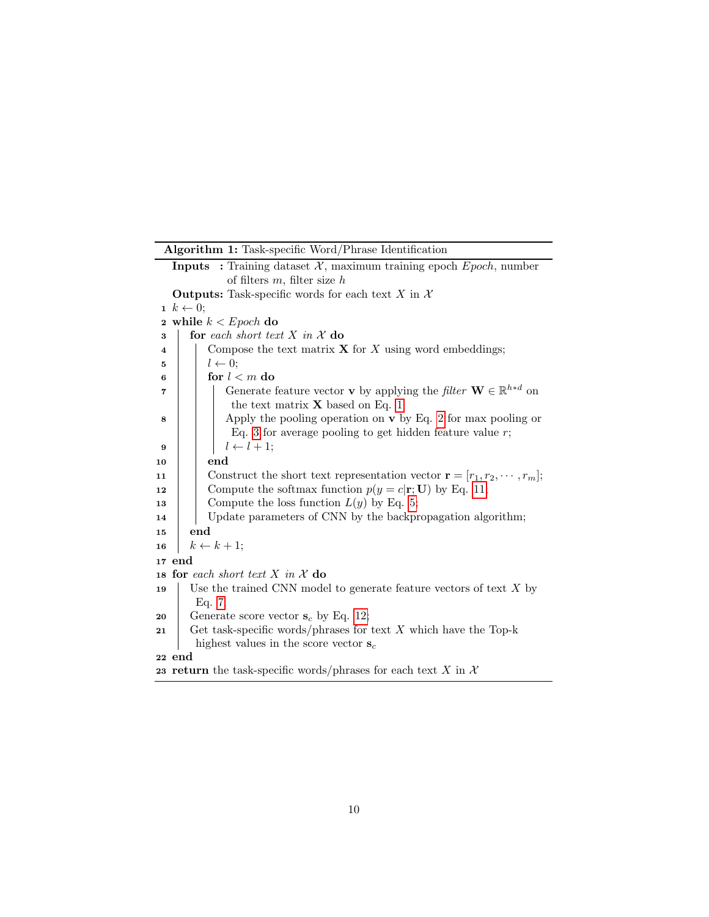<span id="page-9-0"></span>

|    | Algorithm 1: Task-specific Word/Phrase Identification                                                                                      |  |  |  |
|----|--------------------------------------------------------------------------------------------------------------------------------------------|--|--|--|
|    | <b>Inputs</b> : Training dataset $\mathcal{X}$ , maximum training epoch <i>Epoch</i> , number                                              |  |  |  |
|    | of filters $m$ , filter size $h$                                                                                                           |  |  |  |
|    | <b>Outputs:</b> Task-specific words for each text X in $\mathcal{X}$                                                                       |  |  |  |
|    | $1 \; k \leftarrow 0;$                                                                                                                     |  |  |  |
|    | 2 while $k < Epoch$ do                                                                                                                     |  |  |  |
| 3  | for each short text X in X do                                                                                                              |  |  |  |
| 4  | Compose the text matrix $X$ for X using word embeddings;                                                                                   |  |  |  |
| 5  | $l \leftarrow 0;$                                                                                                                          |  |  |  |
| 6  | for $l < m$ do                                                                                                                             |  |  |  |
| 7  | Generate feature vector <b>v</b> by applying the <i>filter</i> $\mathbf{W} \in \mathbb{R}^{h*d}$ on<br>the text matrix $X$ based on Eq. 1; |  |  |  |
| 8  | Apply the pooling operation on $\bf{v}$ by Eq. 2 for max pooling or<br>Eq. 3 for average pooling to get hidden feature value $r$ ;         |  |  |  |
| 9  | $l \leftarrow l + 1;$                                                                                                                      |  |  |  |
| 10 | end                                                                                                                                        |  |  |  |
| 11 | Construct the short text representation vector $\mathbf{r} = [r_1, r_2, \cdots, r_m];$                                                     |  |  |  |
| 12 | Compute the softmax function $p(y = c   \mathbf{r}; \mathbf{U})$ by Eq. 11;                                                                |  |  |  |
| 13 | Compute the loss function $L(y)$ by Eq. 5;                                                                                                 |  |  |  |
| 14 | Update parameters of CNN by the backpropagation algorithm;                                                                                 |  |  |  |
| 15 | end                                                                                                                                        |  |  |  |
| 16 | $k \leftarrow k+1;$                                                                                                                        |  |  |  |
|    | 17 end                                                                                                                                     |  |  |  |
|    | 18 for each short text X in X do                                                                                                           |  |  |  |
| 19 | Use the trained CNN model to generate feature vectors of text $X$ by                                                                       |  |  |  |
|    | Eq. 7;                                                                                                                                     |  |  |  |
| 20 | Generate score vector $s_c$ by Eq. 12;                                                                                                     |  |  |  |
| 21 | Get task-specific words/phrases for text $X$ which have the Top-k                                                                          |  |  |  |
|    | highest values in the score vector $s_c$                                                                                                   |  |  |  |
| 22 | end                                                                                                                                        |  |  |  |
|    | 23 return the task-specific words/phrases for each text X in X                                                                             |  |  |  |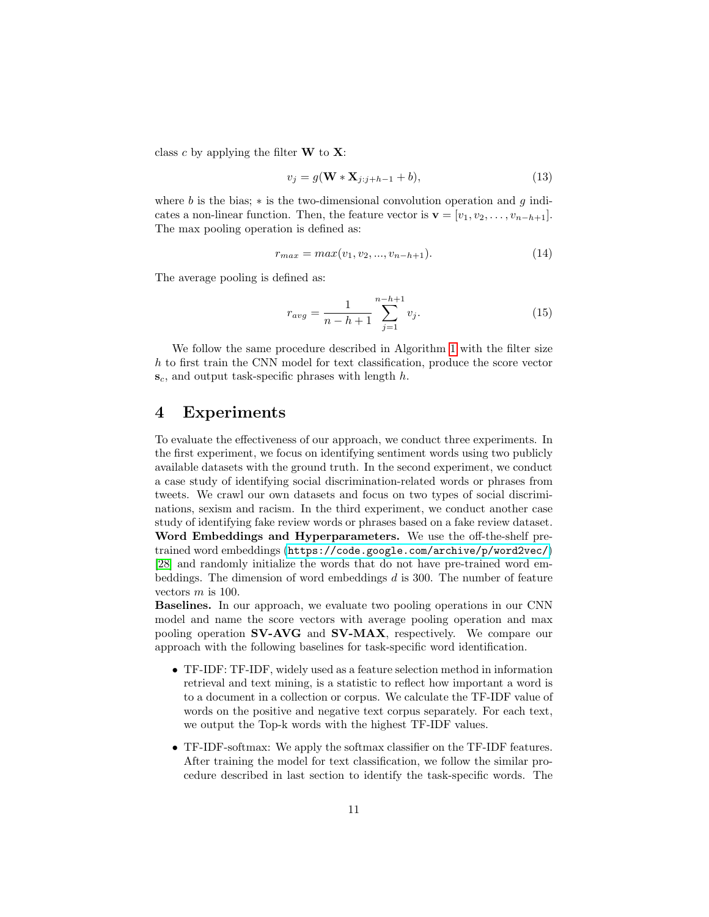class c by applying the filter  $W$  to  $X$ :

$$
v_j = g(\mathbf{W} * \mathbf{X}_{j:j+h-1} + b), \tag{13}
$$

where b is the bias; \* is the two-dimensional convolution operation and q indicates a non-linear function. Then, the feature vector is  $\mathbf{v} = [v_1, v_2, \dots, v_{n-h+1}]$ . The max pooling operation is defined as:

$$
r_{max} = max(v_1, v_2, ..., v_{n-h+1}).
$$
\n(14)

The average pooling is defined as:

$$
r_{avg} = \frac{1}{n - h + 1} \sum_{j=1}^{n - h + 1} v_j.
$$
 (15)

We follow the same procedure described in Algorithm [1](#page-9-0) with the filter size h to first train the CNN model for text classification, produce the score vector  $s_c$ , and output task-specific phrases with length  $h$ .

### 4 Experiments

To evaluate the effectiveness of our approach, we conduct three experiments. In the first experiment, we focus on identifying sentiment words using two publicly available datasets with the ground truth. In the second experiment, we conduct a case study of identifying social discrimination-related words or phrases from tweets. We crawl our own datasets and focus on two types of social discriminations, sexism and racism. In the third experiment, we conduct another case study of identifying fake review words or phrases based on a fake review dataset. Word Embeddings and Hyperparameters. We use the off-the-shelf pretrained word embeddings (<https://code.google.com/archive/p/word2vec/>) [\[28\]](#page-21-2) and randomly initialize the words that do not have pre-trained word embeddings. The dimension of word embeddings d is 300. The number of feature vectors  $m$  is 100.

Baselines. In our approach, we evaluate two pooling operations in our CNN model and name the score vectors with average pooling operation and max pooling operation SV-AVG and SV-MAX, respectively. We compare our approach with the following baselines for task-specific word identification.

- TF-IDF: TF-IDF, widely used as a feature selection method in information retrieval and text mining, is a statistic to reflect how important a word is to a document in a collection or corpus. We calculate the TF-IDF value of words on the positive and negative text corpus separately. For each text, we output the Top-k words with the highest TF-IDF values.
- TF-IDF-softmax: We apply the softmax classifier on the TF-IDF features. After training the model for text classification, we follow the similar procedure described in last section to identify the task-specific words. The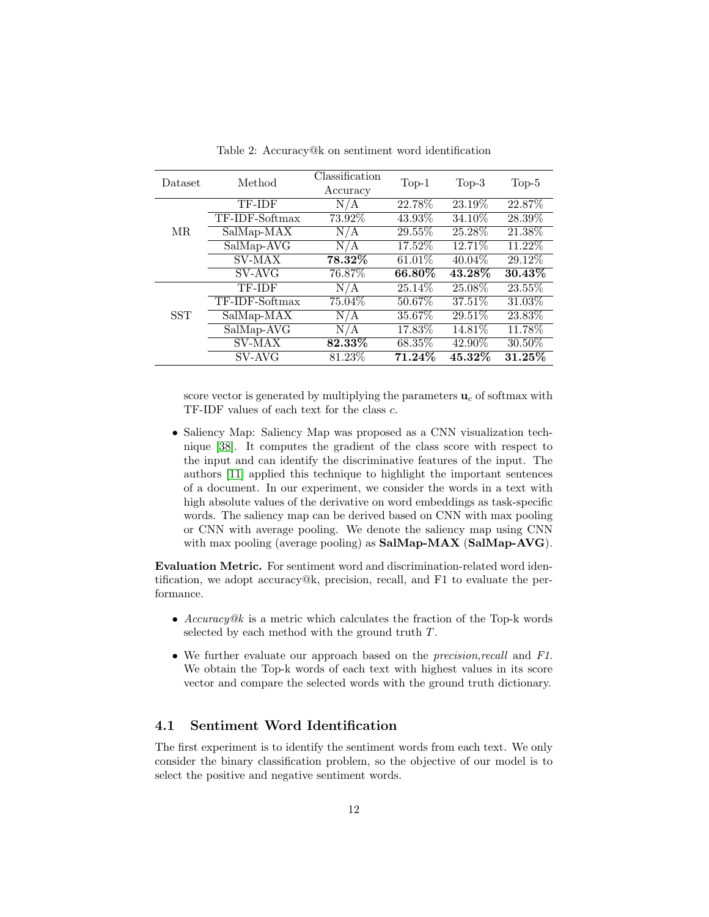<span id="page-11-0"></span>

| Dataset    | Method         | Classification<br>Accuracy  | $Top-1$   | $Top-3$   | $Top-5$   |
|------------|----------------|-----------------------------|-----------|-----------|-----------|
|            | TF-IDF         | $\overline{N}/\overline{A}$ | 22.78%    | 23.19%    | 22.87%    |
|            | TF-IDF-Softmax | 73.92%                      | 43.93%    | 34.10%    | 28.39%    |
| MR.        | SalMap-MAX     | N/A                         | 29.55%    | 25.28%    | 21.38%    |
|            | SalMap-AVG     | N/A                         | 17.52%    | 12.71%    | 11.22%    |
|            | SV-MAX         | 78.32%                      | $61.01\%$ | $40.04\%$ | 29.12%    |
|            | SV-AVG         | 76.87%                      | 66.80\%   | 43.28%    | $30.43\%$ |
|            | TF-IDF         | N/A                         | 25.14\%   | 25.08%    | 23.55%    |
|            | TF-IDF-Softmax | 75.04\%                     | 50.67%    | 37.51%    | 31.03%    |
| <b>SST</b> | SalMap-MAX     | N/A                         | 35.67%    | 29.51%    | 23.83%    |
|            | SalMap-AVG     | N/A                         | 17.83%    | 14.81\%   | 11.78%    |
|            | <b>SV-MAX</b>  | $82.33\%$                   | 68.35%    | 42.90%    | 30.50\%   |
|            | SV-AVG         | 81.23%                      | 71.24%    | $45.32\%$ | $31.25\%$ |

Table 2: Accuracy@k on sentiment word identification

score vector is generated by multiplying the parameters  $\mathbf{u}_c$  of softmax with TF-IDF values of each text for the class c.

• Saliency Map: Saliency Map was proposed as a CNN visualization technique [\[38\]](#page-22-5). It computes the gradient of the class score with respect to the input and can identify the discriminative features of the input. The authors [\[11\]](#page-19-11) applied this technique to highlight the important sentences of a document. In our experiment, we consider the words in a text with high absolute values of the derivative on word embeddings as task-specific words. The saliency map can be derived based on CNN with max pooling or CNN with average pooling. We denote the saliency map using CNN with max pooling (average pooling) as **SalMap-MAX** (SalMap-AVG).

Evaluation Metric. For sentiment word and discrimination-related word identification, we adopt accuracy@k, precision, recall, and F1 to evaluate the performance.

- Accuracy@k is a metric which calculates the fraction of the Top-k words selected by each method with the ground truth T.
- We further evaluate our approach based on the *precision, recall* and F1. We obtain the Top-k words of each text with highest values in its score vector and compare the selected words with the ground truth dictionary.

### 4.1 Sentiment Word Identification

The first experiment is to identify the sentiment words from each text. We only consider the binary classification problem, so the objective of our model is to select the positive and negative sentiment words.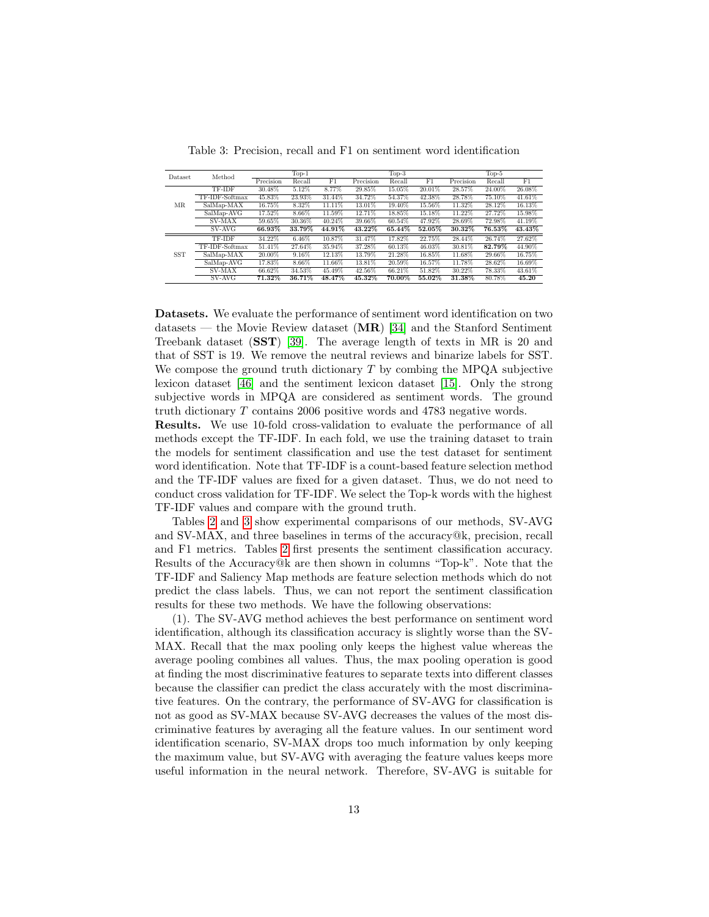<span id="page-12-0"></span>

| <b>Dataset</b> | Method         |           | $Top-1$  |             |           | $Top-3$ |        |           | $Top-5$ |        |
|----------------|----------------|-----------|----------|-------------|-----------|---------|--------|-----------|---------|--------|
|                |                | Precision | Recall   | $_{\rm F1}$ | Precision | Recall  | F1     | Precision | Recall  | F1     |
|                | TF-IDF         | 30.48%    | 5.12%    | 8.77%       | 29.85%    | 15.05%  | 20.01% | 28.57%    | 24.00%  | 26.08% |
|                | TF-IDF-Softmax | 45.83%    | 23.93%   | 31.44%      | 34.72%    | 54.37%  | 42.38% | 28.78%    | 75.10%  | 41.61% |
| MR.            | SalMap-MAX     | 16.75%    | 8.32%    | 11.11%      | 13.01%    | 19.40%  | 15.56% | 11.32%    | 28.12%  | 16.13% |
|                | SalMap-AVG     | 17.52%    | 8.66%    | 11.59%      | 12.71%    | 18.85%  | 15.18% | 11.22%    | 27.72%  | 15.98% |
|                | <b>SV-MAX</b>  | 59.65%    | 30.36%   | 40.24%      | 39.66%    | 60.54%  | 47.92% | 28.69%    | 72.98%  | 41.19% |
|                | SV-AVG         | 66.93%    | 33.79%   | 44.91%      | 43.22%    | 65.44%  | 52.05% | $30.32\%$ | 76.53%  | 43.43% |
|                | <b>TF-IDF</b>  | 34.22%    | 6.46%    | 10.87%      | 31.47%    | 17.82%  | 22.75% | 28.44%    | 26.74%  | 27.62% |
|                | TF-IDF-Softmax | 51.41%    | 27.64%   | 35.94%      | 37.28%    | 60.13%  | 46.03% | 30.81%    | 82.79%  | 44.90% |
| <b>SST</b>     | SalMap-MAX     | 20.00%    | $9.16\%$ | 12.13%      | 13.79%    | 21.28%  | 16.85% | 11.68%    | 29.66%  | 16.75% |
|                | SalMap-AVG     | 17.83%    | 8.66%    | 11.66%      | 13.81%    | 20.59%  | 16.57% | 11.78%    | 28.62%  | 16.69% |
|                | <b>SV-MAX</b>  | 66.62%    | 34.53%   | 45.49%      | 42.56%    | 66.21%  | 51.82% | 30.22%    | 78.33%  | 43.61% |
|                | SV-AVG         | 71.32%    | 36.71%   | 48.47%      | $45.32\%$ | 70.00%  | 55.02% | 31.38%    | 80.78%  | 45.20  |

Table 3: Precision, recall and F1 on sentiment word identification

Datasets. We evaluate the performance of sentiment word identification on two datasets — the Movie Review dataset  $(MR)$  [\[34\]](#page-21-8) and the Stanford Sentiment Treebank dataset (SST) [\[39\]](#page-22-9). The average length of texts in MR is 20 and that of SST is 19. We remove the neutral reviews and binarize labels for SST. We compose the ground truth dictionary  $T$  by combing the MPQA subjective lexicon dataset [\[46\]](#page-22-10) and the sentiment lexicon dataset [\[15\]](#page-20-9). Only the strong subjective words in MPQA are considered as sentiment words. The ground truth dictionary T contains 2006 positive words and 4783 negative words.

Results. We use 10-fold cross-validation to evaluate the performance of all methods except the TF-IDF. In each fold, we use the training dataset to train the models for sentiment classification and use the test dataset for sentiment word identification. Note that TF-IDF is a count-based feature selection method and the TF-IDF values are fixed for a given dataset. Thus, we do not need to conduct cross validation for TF-IDF. We select the Top-k words with the highest TF-IDF values and compare with the ground truth.

Tables [2](#page-11-0) and [3](#page-12-0) show experimental comparisons of our methods, SV-AVG and SV-MAX, and three baselines in terms of the accuracy@k, precision, recall and F1 metrics. Tables [2](#page-11-0) first presents the sentiment classification accuracy. Results of the Accuracy@k are then shown in columns "Top-k". Note that the TF-IDF and Saliency Map methods are feature selection methods which do not predict the class labels. Thus, we can not report the sentiment classification results for these two methods. We have the following observations:

(1). The SV-AVG method achieves the best performance on sentiment word identification, although its classification accuracy is slightly worse than the SV-MAX. Recall that the max pooling only keeps the highest value whereas the average pooling combines all values. Thus, the max pooling operation is good at finding the most discriminative features to separate texts into different classes because the classifier can predict the class accurately with the most discriminative features. On the contrary, the performance of SV-AVG for classification is not as good as SV-MAX because SV-AVG decreases the values of the most discriminative features by averaging all the feature values. In our sentiment word identification scenario, SV-MAX drops too much information by only keeping the maximum value, but SV-AVG with averaging the feature values keeps more useful information in the neural network. Therefore, SV-AVG is suitable for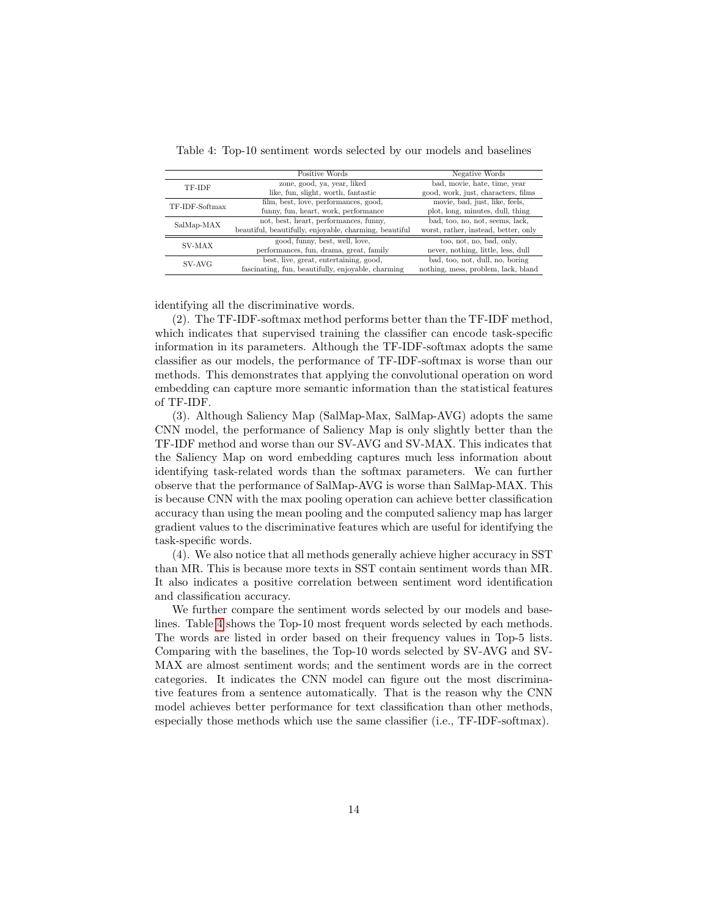|                | Positive Words                                         | Negative Words                       |
|----------------|--------------------------------------------------------|--------------------------------------|
| TF-IDF         | zone, good, ya, year, liked                            | bad, movie, hate, time, year         |
|                | like, fun, slight, worth, fantastic                    | good, work, just, characters, films  |
| TF-IDF-Softmax | film, best, love, performances, good,                  | movie, bad, just, like, feels,       |
|                | funny, fun, heart, work, performance                   | plot, long, minutes, dull, thing     |
|                | not, best, heart, performances, funny,                 | bad, too, no, not, seems, lack,      |
| SalMap-MAX     | beautiful, beautifully, enjoyable, charming, beautiful | worst, rather, instead, better, only |
| SV-MAX         | good, funny, best, well, love,                         | too, not, no, bad, only,             |
|                | performances, fun, drama, great, family                | never, nothing, little, less, dull   |
| SV-AVG         | best, live, great, entertaining, good,                 | bad, too, not, dull, no, boring      |
|                | fascinating, fun, beautifully, enjoyable, charming     | nothing, mess, problem, lack, bland  |

<span id="page-13-0"></span>Table 4: Top-10 sentiment words selected by our models and baselines

identifying all the discriminative words.

(2). The TF-IDF-softmax method performs better than the TF-IDF method, which indicates that supervised training the classifier can encode task-specific information in its parameters. Although the TF-IDF-softmax adopts the same classifier as our models, the performance of TF-IDF-softmax is worse than our methods. This demonstrates that applying the convolutional operation on word embedding can capture more semantic information than the statistical features of TF-IDF.

(3). Although Saliency Map (SalMap-Max, SalMap-AVG) adopts the same CNN model, the performance of Saliency Map is only slightly better than the TF-IDF method and worse than our SV-AVG and SV-MAX. This indicates that the Saliency Map on word embedding captures much less information about identifying task-related words than the softmax parameters. We can further observe that the performance of SalMap-AVG is worse than SalMap-MAX. This is because CNN with the max pooling operation can achieve better classification accuracy than using the mean pooling and the computed saliency map has larger gradient values to the discriminative features which are useful for identifying the task-specific words.

(4). We also notice that all methods generally achieve higher accuracy in SST than MR. This is because more texts in SST contain sentiment words than MR. It also indicates a positive correlation between sentiment word identification and classification accuracy.

We further compare the sentiment words selected by our models and baselines. Table [4](#page-13-0) shows the Top-10 most frequent words selected by each methods. The words are listed in order based on their frequency values in Top-5 lists. Comparing with the baselines, the Top-10 words selected by SV-AVG and SV-MAX are almost sentiment words; and the sentiment words are in the correct categories. It indicates the CNN model can figure out the most discriminative features from a sentence automatically. That is the reason why the CNN model achieves better performance for text classification than other methods, especially those methods which use the same classifier (i.e., TF-IDF-softmax).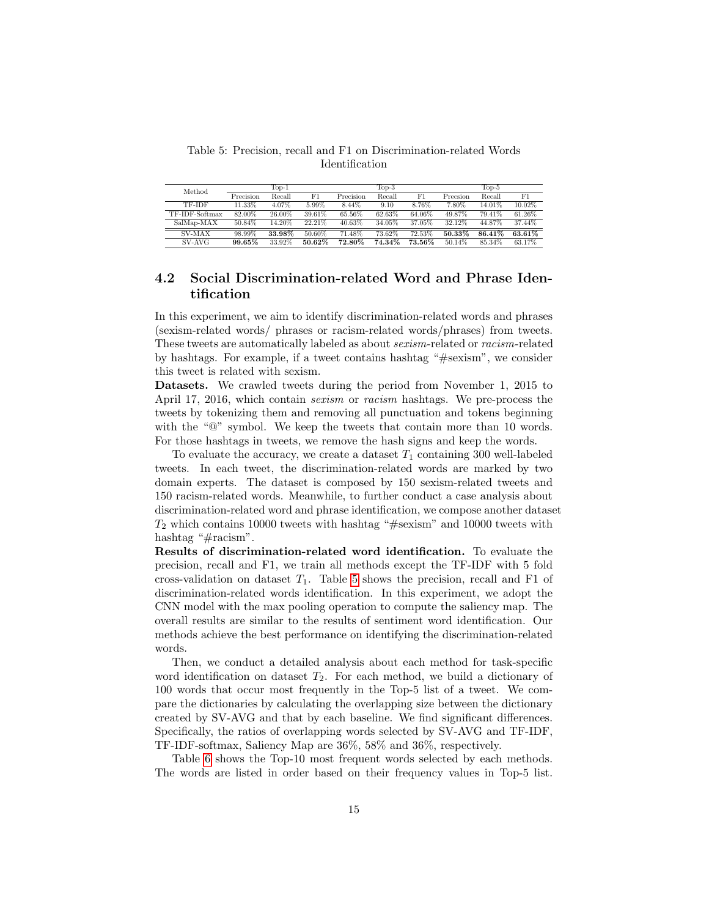<span id="page-14-0"></span>Table 5: Precision, recall and F1 on Discrimination-related Words Identification

| Method         |           | $\operatorname{Top-1}$ |        |           | $\operatorname{Top-3}$ |        |          | $\text{Top-5}$ |        |
|----------------|-----------|------------------------|--------|-----------|------------------------|--------|----------|----------------|--------|
|                | Precision | Recall                 | F1     | Precision | Recall                 | F1     | Precsion | Recall         | F1     |
| TF-IDF         | 11.33%    | 4.07%                  | 5.99%  | 8.44%     | 9.10                   | 8.76%  | 7.80%    | 14.01%         | 10.02% |
| TF-IDF-Softmax | 82.00%    | 26.00%                 | 39.61% | 65.56%    | 62.63%                 | 64.06% | 49.87%   | 79.41%         | 61.26% |
| SalMap-MAX     | 50.84%    | 14.20%                 | 22.21% | 40.63%    | 34.05%                 | 37.05% | 32.12%   | 44.87%         | 37.44% |
| <b>SV-MAX</b>  | 98.99%    | 33.98%                 | 50.60% | 71.48%    | 73.62%                 | 72.53% | 50.33%   | 86.41\%        | 63.61% |
| SV-AVG         | 99.65%    | 33.92%                 | 50.62% | 72.80%    | 74.34%                 | 73.56% | 50.14\%  | 85.34%         | 63.17% |

### 4.2 Social Discrimination-related Word and Phrase Identification

In this experiment, we aim to identify discrimination-related words and phrases (sexism-related words/ phrases or racism-related words/phrases) from tweets. These tweets are automatically labeled as about sexism-related or racism-related by hashtags. For example, if a tweet contains hashtag "#sexism", we consider this tweet is related with sexism.

Datasets. We crawled tweets during the period from November 1, 2015 to April 17, 2016, which contain sexism or racism hashtags. We pre-process the tweets by tokenizing them and removing all punctuation and tokens beginning with the "@" symbol. We keep the tweets that contain more than 10 words. For those hashtags in tweets, we remove the hash signs and keep the words.

To evaluate the accuracy, we create a dataset  $T_1$  containing 300 well-labeled tweets. In each tweet, the discrimination-related words are marked by two domain experts. The dataset is composed by 150 sexism-related tweets and 150 racism-related words. Meanwhile, to further conduct a case analysis about discrimination-related word and phrase identification, we compose another dataset  $T_2$  which contains 10000 tweets with hashtag "#sexism" and 10000 tweets with hashtag "#racism".

Results of discrimination-related word identification. To evaluate the precision, recall and F1, we train all methods except the TF-IDF with 5 fold cross-validation on dataset  $T_1$ . Table [5](#page-14-0) shows the precision, recall and F1 of discrimination-related words identification. In this experiment, we adopt the CNN model with the max pooling operation to compute the saliency map. The overall results are similar to the results of sentiment word identification. Our methods achieve the best performance on identifying the discrimination-related words.

Then, we conduct a detailed analysis about each method for task-specific word identification on dataset  $T_2$ . For each method, we build a dictionary of 100 words that occur most frequently in the Top-5 list of a tweet. We compare the dictionaries by calculating the overlapping size between the dictionary created by SV-AVG and that by each baseline. We find significant differences. Specifically, the ratios of overlapping words selected by SV-AVG and TF-IDF, TF-IDF-softmax, Saliency Map are 36%, 58% and 36%, respectively.

Table [6](#page-15-0) shows the Top-10 most frequent words selected by each methods. The words are listed in order based on their frequency values in Top-5 list.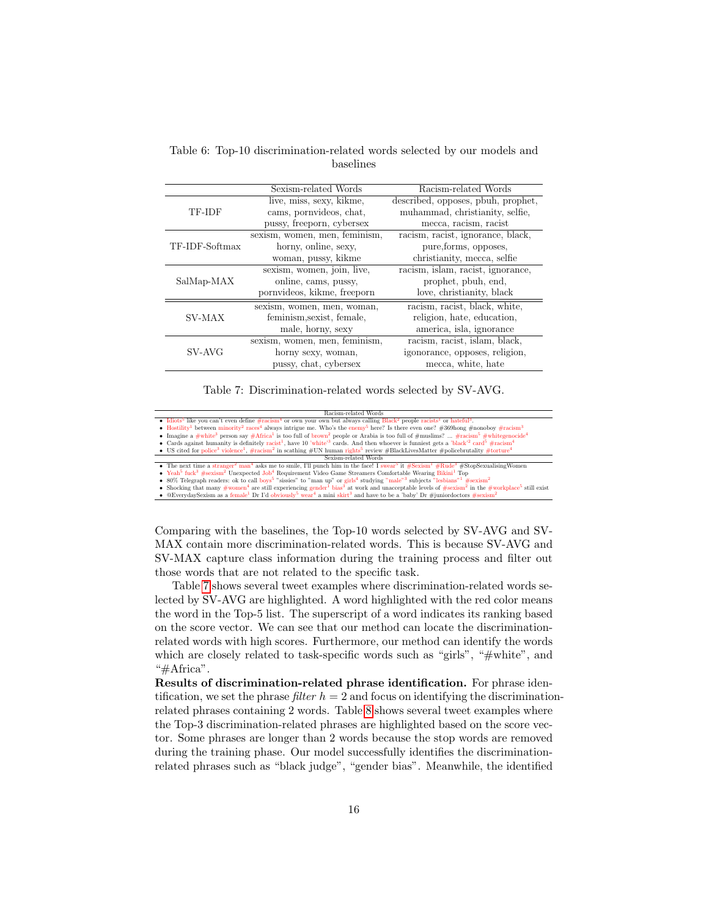|                | Sexism-related Words          | Racism-related Words               |
|----------------|-------------------------------|------------------------------------|
|                | live, miss, sexy, kikme,      | described, opposes, pbuh, prophet, |
| TF-IDF         | cams, pornvideos, chat,       | muhammad, christianity, selfie,    |
|                | pussy, freeporn, cybersex     | mecca, racism, racist              |
|                | sexism, women, men, feminism, | racism, racist, ignorance, black,  |
| TF-IDF-Softmax | horny, online, sexy,          | pure, forms, opposes,              |
|                | woman, pussy, kikme           | christianity, mecca, selfie        |
|                | sexism, women, join, live,    | racism, islam, racist, ignorance,  |
| SalMap-MAX     | online, cams, pussy,          | prophet, pbuh, end,                |
|                | pornvideos, kikme, freeporn   | love, christianity, black          |
|                | sexism, women, men, woman,    | racism, racist, black, white,      |
| SV-MAX         | feminism, sexist, female,     | religion, hate, education,         |
|                | male, horny, sexy             | america, isla, ignorance           |
|                | sexism, women, men, feminism, | racism, racist, islam, black,      |
| SV-AVG         | horny sexy, woman,            | igonorance, opposes, religion,     |
|                | pussy, chat, cybersex         | mecca, white, hate                 |

<span id="page-15-0"></span>Table 6: Top-10 discrimination-related words selected by our models and baselines

Table 7: Discrimination-related words selected by SV-AVG.

<span id="page-15-1"></span> $\begin{tabular}{ll} \bf{Racism-related Words} & \bf{Racism} - related Words \\ \bullet \ \ \text{Idiots}^5 \ \text{like you can't even define \#racism$^4 or own your own but always calling Black$^2 people racists$^1 or hateful$^3$. \\ \bullet \ \ \text{Hostility$^1 between minority$^2 races$^4 always intrigue me. Who's the enemy$^5 here? Is there even one? \#369hong \#nonoboy \#racism$^3$ \end{tabular}$ 

- Insegne a #white<sup>3</sup> person say #Africa<sup>1</sup> is too full of brown<sup>2</sup> people or Arabia is too full of #muslims? ... #racism<sup>5</sup> #white3<sup>n</sup> person say #Africa<sup>1</sup> is too full of brown<sup>2</sup> people or Arabia is too full of #muslim
- Us cited for police<sup>3</sup> violence<sup>1</sup>, #racism<sup>2</sup> in scathing #UN human rights<sup>5</sup> review #BlackLivesMatter #policebrutality #torture<sup>4</sup> US cited for police<sup>3</sup> violence<sup>1</sup>, #racism<sup>2</sup> in scathing #UN human rights<sup>5</sup> revie
- Sexism-related Words

• The next time a  $stranger^2$  man<sup>4</sup> asks me to smile, I'll punch him in the face! I swear #Rude<sup>3</sup> #StopSexualisingWomen  $\mathrm{V\acute{e}ah^{5}}$  fuck<sup>3</sup>  $\#$ 

 $\overline{\textrm{exism}^2}$ Unexpected Job<sup>4</sup> Requirement Video Game Streamers Comfortable Wearing Bikini<sup>1</sup> Top

 $80\%$  Telegraph readers: ok to call boys<sup>5</sup> Shocking that many  $\# \text{women}^4$  are still • 80% Telegraph readers: ok to call boys<sup>5</sup> "sissies" to "man up" or girls<sup>4</sup> studying "male"<sup>3</sup> subjects "lesbians"<sup>1</sup> #sexism<sup>2</sup> in the #workplace<sup>5</sup> still exist • Shocking that many #women<sup>4</sup> are still experiencing gen • @EverydaySexism as a female<sup>1</sup> Dr I'd obviously<sup>5</sup> wear<sup>4</sup> a mini skirt<sup>3</sup> and have to be a 'baby' Dr #juniordoctors #sex

Comparing with the baselines, the Top-10 words selected by SV-AVG and SV-MAX contain more discrimination-related words. This is because SV-AVG and SV-MAX capture class information during the training process and filter out those words that are not related to the specific task.

Table [7](#page-15-1) shows several tweet examples where discrimination-related words selected by SV-AVG are highlighted. A word highlighted with the red color means the word in the Top-5 list. The superscript of a word indicates its ranking based on the score vector. We can see that our method can locate the discriminationrelated words with high scores. Furthermore, our method can identify the words which are closely related to task-specific words such as "girls", "#white", and "#Africa".

Results of discrimination-related phrase identification. For phrase identification, we set the phrase *filter*  $h = 2$  and focus on identifying the discriminationrelated phrases containing 2 words. Table [8](#page-16-0) shows several tweet examples where the Top-3 discrimination-related phrases are highlighted based on the score vector. Some phrases are longer than 2 words because the stop words are removed during the training phase. Our model successfully identifies the discriminationrelated phrases such as "black judge", "gender bias". Meanwhile, the identified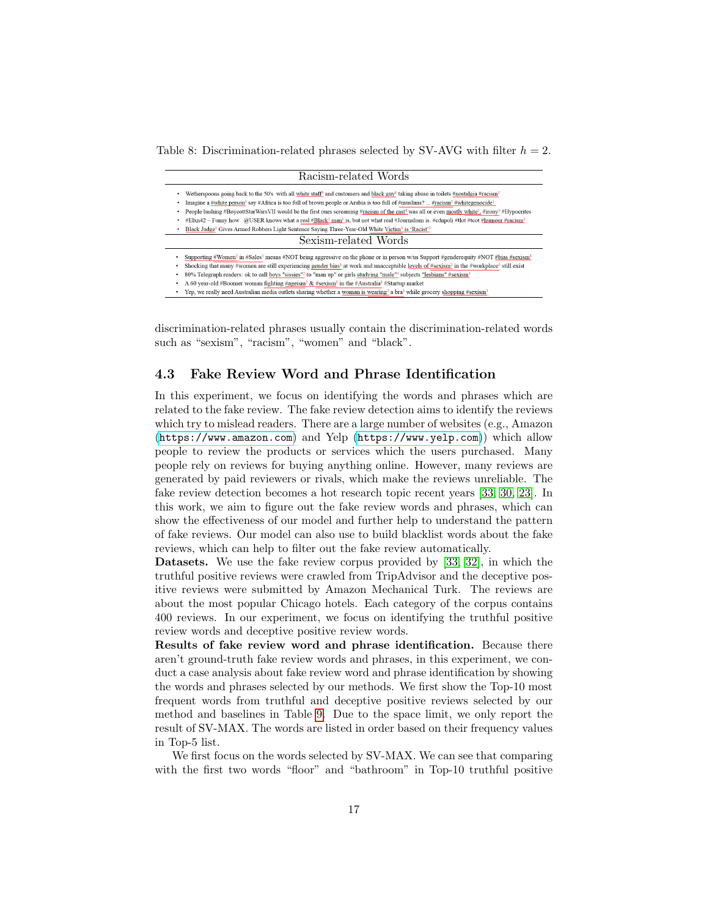<span id="page-16-0"></span>Table 8: Discrimination-related phrases selected by SV-AVG with filter  $h = 2$ .

| Racism-related Words                                                                                                                                                              |
|-----------------------------------------------------------------------------------------------------------------------------------------------------------------------------------|
| Wetherspoons going back to the 50's with all white staff <sup>3</sup> and customers and black guy <sup>1</sup> taking abuse in toilets #nostalgia #racism <sup>2</sup>            |
| Imagine a #white person <sup>3</sup> say #Africa is too full of brown people or Arabia is too full of #muslims?  #racism <sup>2</sup> #whitegenocide <sup>1</sup>                 |
| People bashing #BoycottStarWarsVII would be the first ones screaming #racism of the cast <sup>1</sup> was all or even mostly white <sup>2</sup> . #irony <sup>3</sup> #Hypocrites |
| $#E$ lxn42 ~ Funny how @USER knows what a real $#Black^2$ man <sup>1</sup> is, but not what real #Journalism is. #cdnpoli #tlot #tcot #humour #racism <sup>3</sup>                |
| Black Judge <sup>2</sup> Gives Armed Robbers Light Sentence Saving Three-Year-Old White Victim <sup>3</sup> is 'Racist' <sup>1</sup>                                              |
| Sexism-related Words                                                                                                                                                              |
| Supporting #Women <sup>2</sup> in #Sales <sup>3</sup> means #NOT being aggressive on the phone or in person w/us Support #genderequity #NOT #bias #sexism <sup>1</sup>            |
| Shocking that many #women are still experiencing gender bias <sup>1</sup> at work and unacceptable levels of #sexism <sup>2</sup> in the #workplace <sup>3</sup> still exist      |
| 80% Telegraph readers: ok to call boys "sissies" <sup>2</sup> to "man up" or girls studying "male" <sup>3</sup> subjects "lesbians" #sexism <sup>1</sup>                          |
| A 60 year-old #Boomer woman fighting #ageism <sup>2</sup> & #sexism <sup>1</sup> in the #Australia <sup>3</sup> #Startup market                                                   |
| Yep, we really need Australian media outlets sharing whether a woman is wearing <sup>2</sup> a bra <sup>3</sup> while grocery shopping #sexism <sup>1</sup>                       |

discrimination-related phrases usually contain the discrimination-related words such as "sexism", "racism", "women" and "black".

#### 4.3 Fake Review Word and Phrase Identification

In this experiment, we focus on identifying the words and phrases which are related to the fake review. The fake review detection aims to identify the reviews which try to mislead readers. There are a large number of websites (e.g., Amazon (<https://www.amazon.com>) and Yelp (<https://www.yelp.com>)) which allow people to review the products or services which the users purchased. Many people rely on reviews for buying anything online. However, many reviews are generated by paid reviewers or rivals, which make the reviews unreliable. The fake review detection becomes a hot research topic recent years [\[33,](#page-21-9) [30,](#page-21-10) [23\]](#page-20-10). In this work, we aim to figure out the fake review words and phrases, which can show the effectiveness of our model and further help to understand the pattern of fake reviews. Our model can also use to build blacklist words about the fake reviews, which can help to filter out the fake review automatically.

Datasets. We use the fake review corpus provided by [\[33,](#page-21-9) [32\]](#page-21-11), in which the truthful positive reviews were crawled from TripAdvisor and the deceptive positive reviews were submitted by Amazon Mechanical Turk. The reviews are about the most popular Chicago hotels. Each category of the corpus contains 400 reviews. In our experiment, we focus on identifying the truthful positive review words and deceptive positive review words.

Results of fake review word and phrase identification. Because there aren't ground-truth fake review words and phrases, in this experiment, we conduct a case analysis about fake review word and phrase identification by showing the words and phrases selected by our methods. We first show the Top-10 most frequent words from truthful and deceptive positive reviews selected by our method and baselines in Table [9.](#page-17-0) Due to the space limit, we only report the result of SV-MAX. The words are listed in order based on their frequency values in Top-5 list.

We first focus on the words selected by SV-MAX. We can see that comparing with the first two words "floor" and "bathroom" in Top-10 truthful positive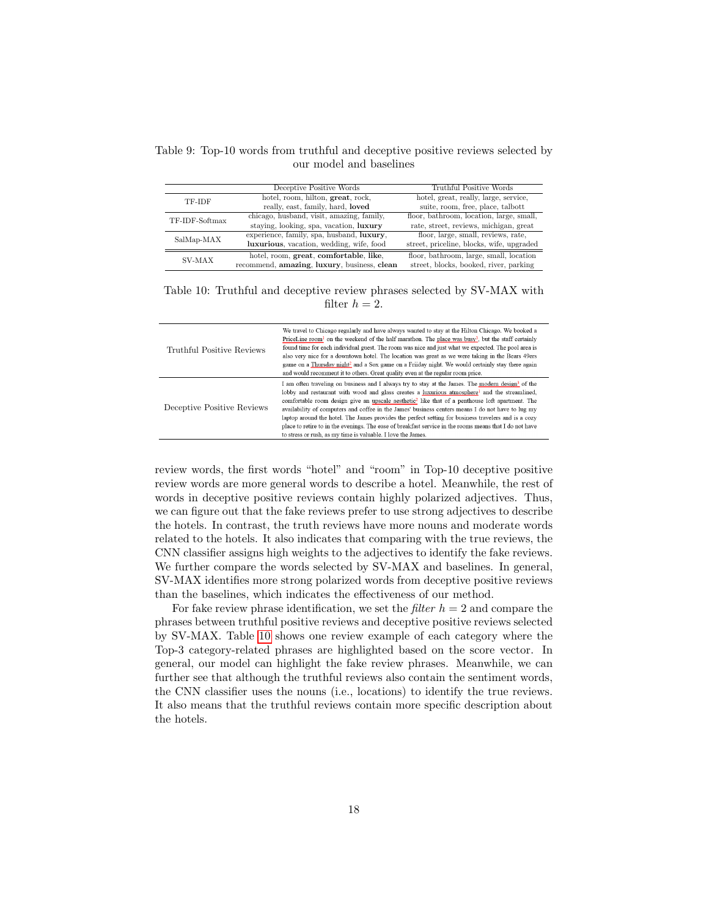<span id="page-17-0"></span>Table 9: Top-10 words from truthful and deceptive positive reviews selected by our model and baselines

|                | Deceptive Positive Words                    | Truthful Positive Words                   |
|----------------|---------------------------------------------|-------------------------------------------|
| TF-IDF         | hotel, room, hilton, great, rock,           | hotel, great, really, large, service,     |
|                | really, east, family, hard, loved           | suite, room, free, place, talbott         |
| TF-IDF-Softmax | chicago, husband, visit, amazing, family,   | floor, bathroom, location, large, small,  |
|                | staying, looking, spa, vacation, luxury     | rate, street, reviews, michigan, great    |
| SalMap-MAX     | experience, family, spa, husband, luxury,   | floor, large, small, reviews, rate,       |
|                | luxurious, vacation, wedding, wife, food    | street, priceline, blocks, wife, upgraded |
|                | hotel, room, great, comfortable, like,      | floor, bathroom, large, small, location   |
| SV-MAX         | recommend, amazing, luxury, business, clean | street, blocks, booked, river, parking    |

<span id="page-17-1"></span>Table 10: Truthful and deceptive review phrases selected by SV-MAX with filter  $h = 2$ .

| Truthful Positive Reviews  | We travel to Chicago regularly and have always wanted to stay at the Hilton Chicago. We booked a<br>PriceLine room <sup>1</sup> on the weekend of the half marathon. The place was busy <sup>3</sup> , but the staff certainly<br>found time for each individual guest. The room was nice and just what we expected. The pool area is<br>also very nice for a downtown hotel. The location was great as we were taking in the Bears 49ers<br>game on a Thursday night <sup>2</sup> and a Sox game on a Friiday night. We would certainly stay there again<br>and would recomment it to others. Great quality even at the regular room price.                                                                                      |
|----------------------------|-----------------------------------------------------------------------------------------------------------------------------------------------------------------------------------------------------------------------------------------------------------------------------------------------------------------------------------------------------------------------------------------------------------------------------------------------------------------------------------------------------------------------------------------------------------------------------------------------------------------------------------------------------------------------------------------------------------------------------------|
| Deceptive Positive Reviews | I am often traveling on business and I always try to stay at the James. The modern design <sup>3</sup> of the<br>lobby and restaurant with wood and glass creates a luxurious atmosphere <sup>1</sup> and the streamlined,<br>comfortable room design give an upscale aesthetic <sup>2</sup> like that of a penthouse loft apartment. The<br>availability of computers and coffee in the James' business centers means I do not have to lug my<br>laptop around the hotel. The James provides the perfect setting for business travelers and is a cozy<br>place to retire to in the evenings. The ease of breakfast service in the rooms means that I do not have<br>to stress or rush, as my time is valuable. I love the James. |

review words, the first words "hotel" and "room" in Top-10 deceptive positive review words are more general words to describe a hotel. Meanwhile, the rest of words in deceptive positive reviews contain highly polarized adjectives. Thus, we can figure out that the fake reviews prefer to use strong adjectives to describe the hotels. In contrast, the truth reviews have more nouns and moderate words related to the hotels. It also indicates that comparing with the true reviews, the CNN classifier assigns high weights to the adjectives to identify the fake reviews. We further compare the words selected by SV-MAX and baselines. In general, SV-MAX identifies more strong polarized words from deceptive positive reviews than the baselines, which indicates the effectiveness of our method.

For fake review phrase identification, we set the *filter*  $h = 2$  and compare the phrases between truthful positive reviews and deceptive positive reviews selected by SV-MAX. Table [10](#page-17-1) shows one review example of each category where the Top-3 category-related phrases are highlighted based on the score vector. In general, our model can highlight the fake review phrases. Meanwhile, we can further see that although the truthful reviews also contain the sentiment words, the CNN classifier uses the nouns (i.e., locations) to identify the true reviews. It also means that the truthful reviews contain more specific description about the hotels.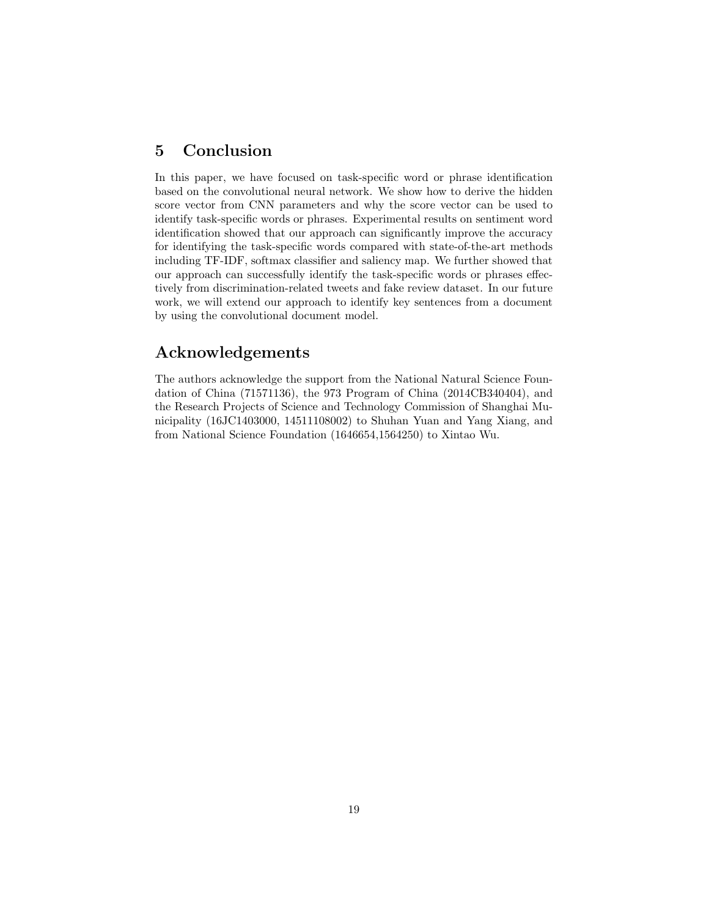### 5 Conclusion

In this paper, we have focused on task-specific word or phrase identification based on the convolutional neural network. We show how to derive the hidden score vector from CNN parameters and why the score vector can be used to identify task-specific words or phrases. Experimental results on sentiment word identification showed that our approach can significantly improve the accuracy for identifying the task-specific words compared with state-of-the-art methods including TF-IDF, softmax classifier and saliency map. We further showed that our approach can successfully identify the task-specific words or phrases effectively from discrimination-related tweets and fake review dataset. In our future work, we will extend our approach to identify key sentences from a document by using the convolutional document model.

## Acknowledgements

The authors acknowledge the support from the National Natural Science Foundation of China (71571136), the 973 Program of China (2014CB340404), and the Research Projects of Science and Technology Commission of Shanghai Municipality (16JC1403000, 14511108002) to Shuhan Yuan and Yang Xiang, and from National Science Foundation (1646654,1564250) to Xintao Wu.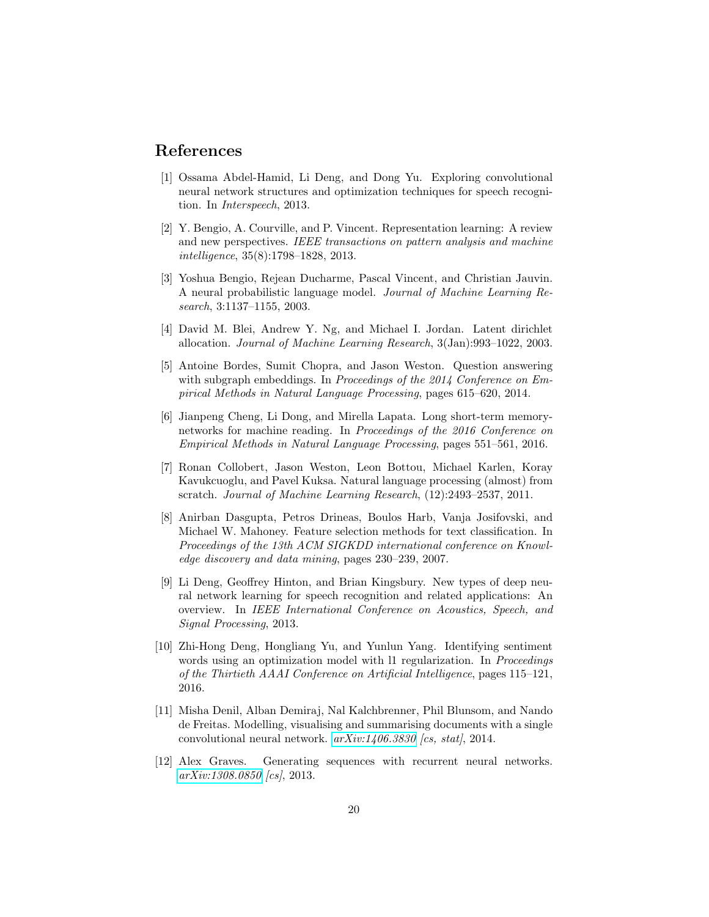### References

- <span id="page-19-3"></span>[1] Ossama Abdel-Hamid, Li Deng, and Dong Yu. Exploring convolutional neural network structures and optimization techniques for speech recognition. In Interspeech, 2013.
- <span id="page-19-1"></span>[2] Y. Bengio, A. Courville, and P. Vincent. Representation learning: A review and new perspectives. IEEE transactions on pattern analysis and machine intelligence, 35(8):1798–1828, 2013.
- <span id="page-19-9"></span>[3] Yoshua Bengio, Rejean Ducharme, Pascal Vincent, and Christian Jauvin. A neural probabilistic language model. Journal of Machine Learning Research, 3:1137–1155, 2003.
- <span id="page-19-6"></span>[4] David M. Blei, Andrew Y. Ng, and Michael I. Jordan. Latent dirichlet allocation. Journal of Machine Learning Research, 3(Jan):993–1022, 2003.
- <span id="page-19-7"></span>[5] Antoine Bordes, Sumit Chopra, and Jason Weston. Question answering with subgraph embeddings. In Proceedings of the 2014 Conference on Empirical Methods in Natural Language Processing, pages 615–620, 2014.
- <span id="page-19-8"></span>[6] Jianpeng Cheng, Li Dong, and Mirella Lapata. Long short-term memorynetworks for machine reading. In Proceedings of the 2016 Conference on Empirical Methods in Natural Language Processing, pages 551–561, 2016.
- <span id="page-19-4"></span>[7] Ronan Collobert, Jason Weston, Leon Bottou, Michael Karlen, Koray Kavukcuoglu, and Pavel Kuksa. Natural language processing (almost) from scratch. Journal of Machine Learning Research, (12):2493–2537, 2011.
- <span id="page-19-5"></span>[8] Anirban Dasgupta, Petros Drineas, Boulos Harb, Vanja Josifovski, and Michael W. Mahoney. Feature selection methods for text classification. In Proceedings of the 13th ACM SIGKDD international conference on Knowledge discovery and data mining, pages 230–239, 2007.
- <span id="page-19-2"></span>[9] Li Deng, Geoffrey Hinton, and Brian Kingsbury. New types of deep neural network learning for speech recognition and related applications: An overview. In IEEE International Conference on Acoustics, Speech, and Signal Processing, 2013.
- <span id="page-19-0"></span>[10] Zhi-Hong Deng, Hongliang Yu, and Yunlun Yang. Identifying sentiment words using an optimization model with 11 regularization. In *Proceedings* of the Thirtieth AAAI Conference on Artificial Intelligence, pages 115–121, 2016.
- <span id="page-19-11"></span>[11] Misha Denil, Alban Demiraj, Nal Kalchbrenner, Phil Blunsom, and Nando de Freitas. Modelling, visualising and summarising documents with a single convolutional neural network.  $arXiv:1406.3830$  [cs, stat], 2014.
- <span id="page-19-10"></span>[12] Alex Graves. Generating sequences with recurrent neural networks. [arXiv:1308.0850](http://arxiv.org/abs/1308.0850) [cs], 2013.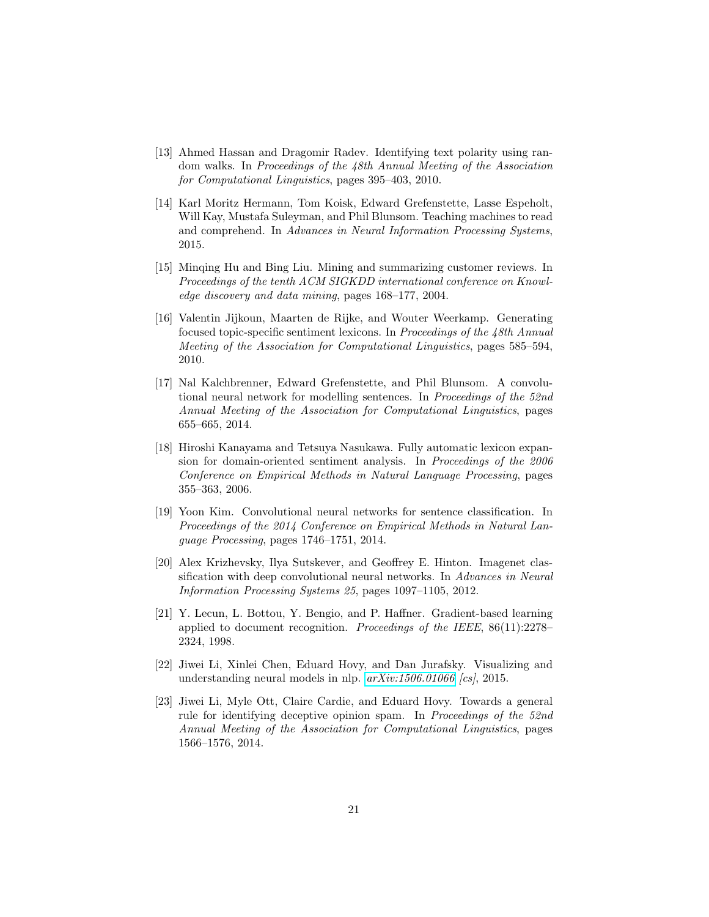- <span id="page-20-0"></span>[13] Ahmed Hassan and Dragomir Radev. Identifying text polarity using random walks. In Proceedings of the 48th Annual Meeting of the Association for Computational Linguistics, pages 395–403, 2010.
- <span id="page-20-8"></span>[14] Karl Moritz Hermann, Tom Koisk, Edward Grefenstette, Lasse Espeholt, Will Kay, Mustafa Suleyman, and Phil Blunsom. Teaching machines to read and comprehend. In Advances in Neural Information Processing Systems, 2015.
- <span id="page-20-9"></span>[15] Minqing Hu and Bing Liu. Mining and summarizing customer reviews. In Proceedings of the tenth ACM SIGKDD international conference on Knowledge discovery and data mining, pages 168–177, 2004.
- <span id="page-20-6"></span>[16] Valentin Jijkoun, Maarten de Rijke, and Wouter Weerkamp. Generating focused topic-specific sentiment lexicons. In Proceedings of the 48th Annual Meeting of the Association for Computational Linguistics, pages 585–594, 2010.
- <span id="page-20-4"></span>[17] Nal Kalchbrenner, Edward Grefenstette, and Phil Blunsom. A convolutional neural network for modelling sentences. In Proceedings of the 52nd Annual Meeting of the Association for Computational Linguistics, pages 655–665, 2014.
- <span id="page-20-5"></span>[18] Hiroshi Kanayama and Tetsuya Nasukawa. Fully automatic lexicon expansion for domain-oriented sentiment analysis. In Proceedings of the 2006 Conference on Empirical Methods in Natural Language Processing, pages 355–363, 2006.
- <span id="page-20-3"></span>[19] Yoon Kim. Convolutional neural networks for sentence classification. In Proceedings of the 2014 Conference on Empirical Methods in Natural Language Processing, pages 1746–1751, 2014.
- <span id="page-20-2"></span>[20] Alex Krizhevsky, Ilya Sutskever, and Geoffrey E. Hinton. Imagenet classification with deep convolutional neural networks. In Advances in Neural Information Processing Systems 25, pages 1097–1105, 2012.
- <span id="page-20-1"></span>[21] Y. Lecun, L. Bottou, Y. Bengio, and P. Haffner. Gradient-based learning applied to document recognition. Proceedings of the IEEE, 86(11):2278– 2324, 1998.
- <span id="page-20-7"></span>[22] Jiwei Li, Xinlei Chen, Eduard Hovy, and Dan Jurafsky. Visualizing and understanding neural models in nlp.  $arXiv:1506.01066$  [cs], 2015.
- <span id="page-20-10"></span>[23] Jiwei Li, Myle Ott, Claire Cardie, and Eduard Hovy. Towards a general rule for identifying deceptive opinion spam. In Proceedings of the 52nd Annual Meeting of the Association for Computational Linguistics, pages 1566–1576, 2014.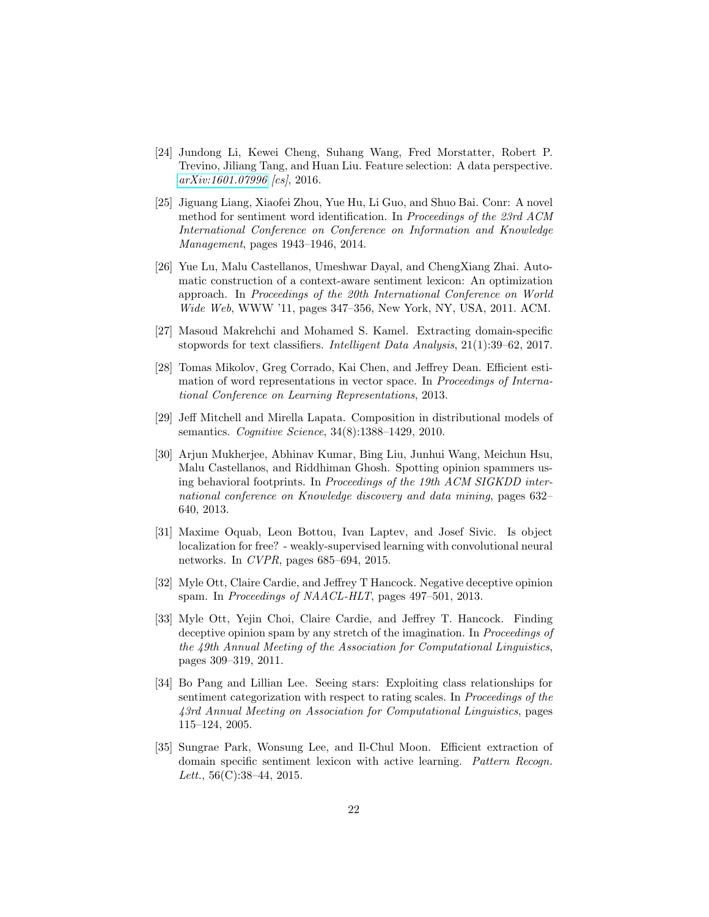- <span id="page-21-4"></span>[24] Jundong Li, Kewei Cheng, Suhang Wang, Fred Morstatter, Robert P. Trevino, Jiliang Tang, and Huan Liu. Feature selection: A data perspective. [arXiv:1601.07996](http://arxiv.org/abs/1601.07996) [cs], 2016.
- <span id="page-21-0"></span>[25] Jiguang Liang, Xiaofei Zhou, Yue Hu, Li Guo, and Shuo Bai. Conr: A novel method for sentiment word identification. In Proceedings of the 23rd ACM International Conference on Conference on Information and Knowledge Management, pages 1943–1946, 2014.
- <span id="page-21-6"></span>[26] Yue Lu, Malu Castellanos, Umeshwar Dayal, and ChengXiang Zhai. Automatic construction of a context-aware sentiment lexicon: An optimization approach. In Proceedings of the 20th International Conference on World Wide Web, WWW '11, pages 347–356, New York, NY, USA, 2011. ACM.
- <span id="page-21-3"></span>[27] Masoud Makrehchi and Mohamed S. Kamel. Extracting domain-specific stopwords for text classifiers. Intelligent Data Analysis, 21(1):39–62, 2017.
- <span id="page-21-2"></span>[28] Tomas Mikolov, Greg Corrado, Kai Chen, and Jeffrey Dean. Efficient estimation of word representations in vector space. In Proceedings of International Conference on Learning Representations, 2013.
- <span id="page-21-7"></span>[29] Jeff Mitchell and Mirella Lapata. Composition in distributional models of semantics. Cognitive Science, 34(8):1388–1429, 2010.
- <span id="page-21-10"></span>[30] Arjun Mukherjee, Abhinav Kumar, Bing Liu, Junhui Wang, Meichun Hsu, Malu Castellanos, and Riddhiman Ghosh. Spotting opinion spammers using behavioral footprints. In Proceedings of the 19th ACM SIGKDD international conference on Knowledge discovery and data mining, pages 632– 640, 2013.
- <span id="page-21-1"></span>[31] Maxime Oquab, Leon Bottou, Ivan Laptev, and Josef Sivic. Is object localization for free? - weakly-supervised learning with convolutional neural networks. In CVPR, pages 685–694, 2015.
- <span id="page-21-11"></span>[32] Myle Ott, Claire Cardie, and Jeffrey T Hancock. Negative deceptive opinion spam. In Proceedings of NAACL-HLT, pages 497–501, 2013.
- <span id="page-21-9"></span>[33] Myle Ott, Yejin Choi, Claire Cardie, and Jeffrey T. Hancock. Finding deceptive opinion spam by any stretch of the imagination. In *Proceedings of* the 49th Annual Meeting of the Association for Computational Linguistics, pages 309–319, 2011.
- <span id="page-21-8"></span>[34] Bo Pang and Lillian Lee. Seeing stars: Exploiting class relationships for sentiment categorization with respect to rating scales. In Proceedings of the 43rd Annual Meeting on Association for Computational Linguistics, pages 115–124, 2005.
- <span id="page-21-5"></span>[35] Sungrae Park, Wonsung Lee, and Il-Chul Moon. Efficient extraction of domain specific sentiment lexicon with active learning. Pattern Recogn. Lett.,  $56(C):38-44$ , 2015.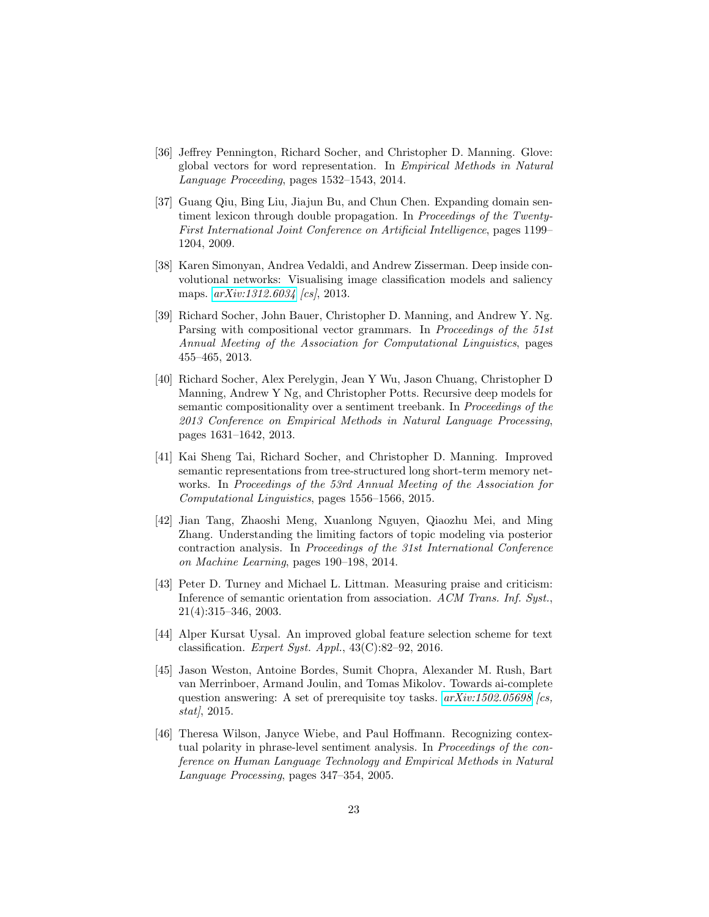- <span id="page-22-0"></span>[36] Jeffrey Pennington, Richard Socher, and Christopher D. Manning. Glove: global vectors for word representation. In Empirical Methods in Natural Language Proceeding, pages 1532–1543, 2014.
- <span id="page-22-3"></span>[37] Guang Qiu, Bing Liu, Jiajun Bu, and Chun Chen. Expanding domain sentiment lexicon through double propagation. In Proceedings of the Twenty-First International Joint Conference on Artificial Intelligence, pages 1199– 1204, 2009.
- <span id="page-22-5"></span>[38] Karen Simonyan, Andrea Vedaldi, and Andrew Zisserman. Deep inside convolutional networks: Visualising image classification models and saliency maps.  $arXiv:1312.6034$  [cs], 2013.
- <span id="page-22-9"></span>[39] Richard Socher, John Bauer, Christopher D. Manning, and Andrew Y. Ng. Parsing with compositional vector grammars. In Proceedings of the 51st Annual Meeting of the Association for Computational Linguistics, pages 455–465, 2013.
- <span id="page-22-7"></span>[40] Richard Socher, Alex Perelygin, Jean Y Wu, Jason Chuang, Christopher D Manning, Andrew Y Ng, and Christopher Potts. Recursive deep models for semantic compositionality over a sentiment treebank. In Proceedings of the 2013 Conference on Empirical Methods in Natural Language Processing, pages 1631–1642, 2013.
- <span id="page-22-8"></span>[41] Kai Sheng Tai, Richard Socher, and Christopher D. Manning. Improved semantic representations from tree-structured long short-term memory networks. In Proceedings of the 53rd Annual Meeting of the Association for Computational Linguistics, pages 1556–1566, 2015.
- <span id="page-22-4"></span>[42] Jian Tang, Zhaoshi Meng, Xuanlong Nguyen, Qiaozhu Mei, and Ming Zhang. Understanding the limiting factors of topic modeling via posterior contraction analysis. In Proceedings of the 31st International Conference on Machine Learning, pages 190–198, 2014.
- <span id="page-22-2"></span>[43] Peter D. Turney and Michael L. Littman. Measuring praise and criticism: Inference of semantic orientation from association. ACM Trans. Inf. Syst., 21(4):315–346, 2003.
- <span id="page-22-1"></span>[44] Alper Kursat Uysal. An improved global feature selection scheme for text classification. Expert Syst. Appl.,  $43(C):82-92$ ,  $2016$ .
- <span id="page-22-6"></span>[45] Jason Weston, Antoine Bordes, Sumit Chopra, Alexander M. Rush, Bart van Merrinboer, Armand Joulin, and Tomas Mikolov. Towards ai-complete question answering: A set of prerequisite toy tasks.  $arXiv:1502.05698$  [cs, stat $\ell$ , 2015.
- <span id="page-22-10"></span>[46] Theresa Wilson, Janyce Wiebe, and Paul Hoffmann. Recognizing contextual polarity in phrase-level sentiment analysis. In Proceedings of the conference on Human Language Technology and Empirical Methods in Natural Language Processing, pages 347–354, 2005.